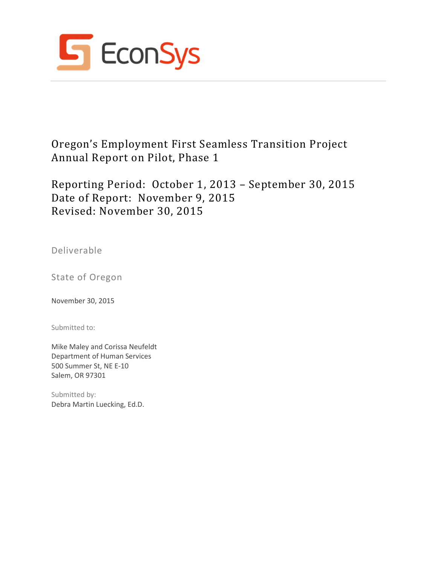

Oregon's Employment First Seamless Transition Project Annual Report on Pilot, Phase 1

Reporting Period: October 1, 2013 – September 30, 2015 Date of Report: November 9, 2015 Revised: November 30, 2015

Deliverable

State of Oregon

November 30, 2015

Submitted to:

Mike Maley and Corissa Neufeldt Department of Human Services 500 Summer St, NE E-10 Salem, OR 97301

Submitted by: Debra Martin Luecking, Ed.D.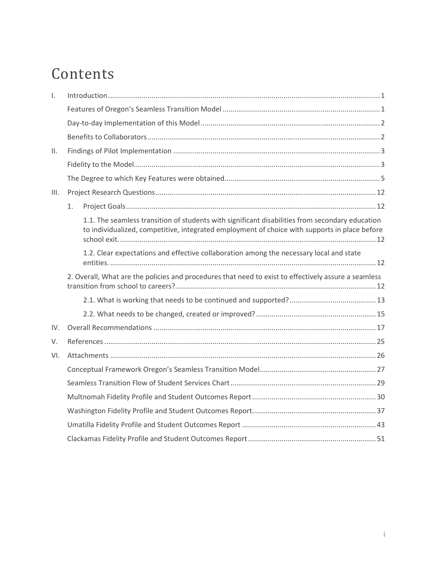# Contents

| $\mathsf{L}$ |                                                                                                                                                                                                  |
|--------------|--------------------------------------------------------------------------------------------------------------------------------------------------------------------------------------------------|
|              |                                                                                                                                                                                                  |
|              |                                                                                                                                                                                                  |
|              |                                                                                                                                                                                                  |
| ΙΙ.          |                                                                                                                                                                                                  |
|              |                                                                                                                                                                                                  |
|              |                                                                                                                                                                                                  |
| III.         |                                                                                                                                                                                                  |
|              | 1.                                                                                                                                                                                               |
|              | 1.1. The seamless transition of students with significant disabilities from secondary education<br>to individualized, competitive, integrated employment of choice with supports in place before |
|              | 1.2. Clear expectations and effective collaboration among the necessary local and state                                                                                                          |
|              | 2. Overall, What are the policies and procedures that need to exist to effectively assure a seamless                                                                                             |
|              |                                                                                                                                                                                                  |
|              |                                                                                                                                                                                                  |
| IV.          |                                                                                                                                                                                                  |
| V.           |                                                                                                                                                                                                  |
| VI.          |                                                                                                                                                                                                  |
|              |                                                                                                                                                                                                  |
|              |                                                                                                                                                                                                  |
|              |                                                                                                                                                                                                  |
|              |                                                                                                                                                                                                  |
|              |                                                                                                                                                                                                  |
|              |                                                                                                                                                                                                  |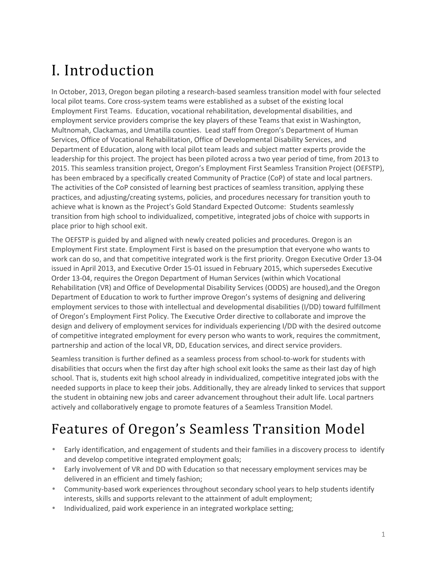# I. Introduction

In October, 2013, Oregon began piloting a research-based seamless transition model with four selected local pilot teams. Core cross-system teams were established as a subset of the existing local Employment First Teams. Education, vocational rehabilitation, developmental disabilities, and employment service providers comprise the key players of these Teams that exist in Washington, Multnomah, Clackamas, and Umatilla counties. Lead staff from Oregon's Department of Human Services, Office of Vocational Rehabilitation, Office of Developmental Disability Services, and Department of Education, along with local pilot team leads and subject matter experts provide the leadership for this project. The project has been piloted across a two year period of time, from 2013 to 2015. This seamless transition project, Oregon's Employment First Seamless Transition Project (OEFSTP), has been embraced by a specifically created Community of Practice (CoP) of state and local partners. The activities of the CoP consisted of learning best practices of seamless transition, applying these practices, and adjusting/creating systems, policies, and procedures necessary for transition youth to achieve what is known as the Project's Gold Standard Expected Outcome: Students seamlessly transition from high school to individualized, competitive, integrated jobs of choice with supports in place prior to high school exit.

The OEFSTP is guided by and aligned with newly created policies and procedures. Oregon is an Employment First state. Employment First is based on the presumption that everyone who wants to work can do so, and that competitive integrated work is the first priority. Oregon Executive Order 13-04 issued in April 2013, and Executive Order 15-01 issued in February 2015, which supersedes Executive Order 13-04, requires the Oregon Department of Human Services (within which Vocational Rehabilitation (VR) and Office of Developmental Disability Services (ODDS) are housed),and the Oregon Department of Education to work to further improve Oregon's systems of designing and delivering employment services to those with intellectual and developmental disabilities (I/DD) toward fulfillment of Oregon's Employment First Policy. The Executive Order directive to collaborate and improve the design and delivery of employment services for individuals experiencing I/DD with the desired outcome of competitive integrated employment for every person who wants to work, requires the commitment, partnership and action of the local VR, DD, Education services, and direct service providers.

Seamless transition is further defined as a seamless process from school-to-work for students with disabilities that occurs when the first day after high school exit looks the same as their last day of high school. That is, students exit high school already in individualized, competitive integrated jobs with the needed supports in place to keep their jobs. Additionally, they are already linked to services that support the student in obtaining new jobs and career advancement throughout their adult life. Local partners actively and collaboratively engage to promote features of a Seamless Transition Model.

# Features of Oregon's Seamless Transition Model

- Early identification, and engagement of students and their families in a discovery process to identify and develop competitive integrated employment goals;
- Early involvement of VR and DD with Education so that necessary employment services may be delivered in an efficient and timely fashion;
- Community-based work experiences throughout secondary school years to help students identify interests, skills and supports relevant to the attainment of adult employment;
- Individualized, paid work experience in an integrated workplace setting;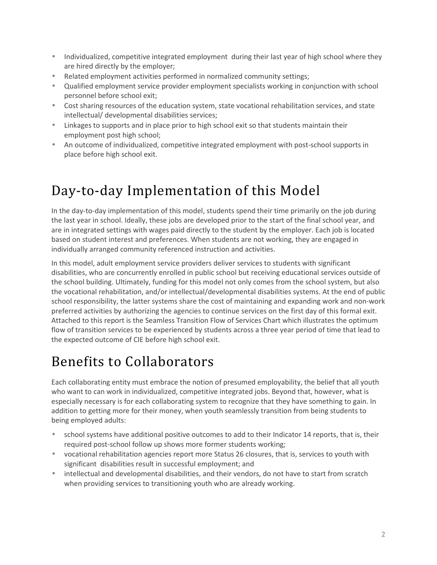- Individualized, competitive integrated employment during their last year of high school where they are hired directly by the employer;
- Related employment activities performed in normalized community settings;
- Qualified employment service provider employment specialists working in conjunction with school personnel before school exit;
- Cost sharing resources of the education system, state vocational rehabilitation services, and state intellectual/ developmental disabilities services;
- Linkages to supports and in place prior to high school exit so that students maintain their employment post high school;
- An outcome of individualized, competitive integrated employment with post-school supports in place before high school exit.

# Day-to-day Implementation of this Model

In the day-to-day implementation of this model, students spend their time primarily on the job during the last year in school. Ideally, these jobs are developed prior to the start of the final school year, and are in integrated settings with wages paid directly to the student by the employer. Each job is located based on student interest and preferences. When students are not working, they are engaged in individually arranged community referenced instruction and activities.

In this model, adult employment service providers deliver services to students with significant disabilities, who are concurrently enrolled in public school but receiving educational services outside of the school building. Ultimately, funding for this model not only comes from the school system, but also the vocational rehabilitation, and/or intellectual/developmental disabilities systems. At the end of public school responsibility, the latter systems share the cost of maintaining and expanding work and non-work preferred activities by authorizing the agencies to continue services on the first day of this formal exit. Attached to this report is the Seamless Transition Flow of Services Chart which illustrates the optimum flow of transition services to be experienced by students across a three year period of time that lead to the expected outcome of CIE before high school exit.

## Benefits to Collaborators

Each collaborating entity must embrace the notion of presumed employability, the belief that all youth who want to can work in individualized, competitive integrated jobs. Beyond that, however, what is especially necessary is for each collaborating system to recognize that they have something to gain. In addition to getting more for their money, when youth seamlessly transition from being students to being employed adults:

- school systems have additional positive outcomes to add to their Indicator 14 reports, that is, their required post-school follow up shows more former students working;
- vocational rehabilitation agencies report more Status 26 closures, that is, services to youth with significant disabilities result in successful employment; and
- intellectual and developmental disabilities, and their vendors, do not have to start from scratch when providing services to transitioning youth who are already working.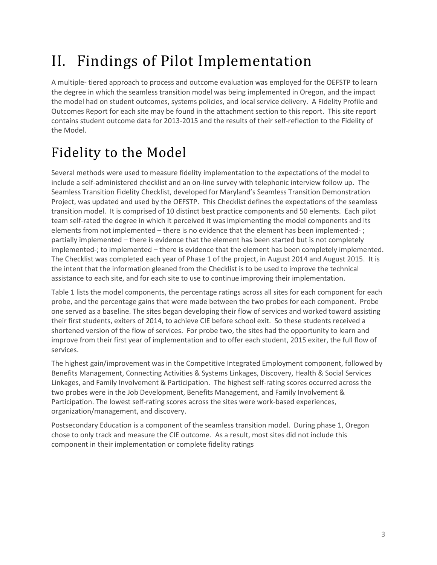# II. Findings of Pilot Implementation

A multiple- tiered approach to process and outcome evaluation was employed for the OEFSTP to learn the degree in which the seamless transition model was being implemented in Oregon, and the impact the model had on student outcomes, systems policies, and local service delivery. A Fidelity Profile and Outcomes Report for each site may be found in the attachment section to this report. This site report contains student outcome data for 2013-2015 and the results of their self-reflection to the Fidelity of the Model.

# Fidelity to the Model

Several methods were used to measure fidelity implementation to the expectations of the model to include a self-administered checklist and an on-line survey with telephonic interview follow up. The Seamless Transition Fidelity Checklist, developed for Maryland's Seamless Transition Demonstration Project, was updated and used by the OEFSTP. This Checklist defines the expectations of the seamless transition model. It is comprised of 10 distinct best practice components and 50 elements. Each pilot team self-rated the degree in which it perceived it was implementing the model components and its elements from not implemented – there is no evidence that the element has been implemented- ; partially implemented – there is evidence that the element has been started but is not completely implemented-; to implemented – there is evidence that the element has been completely implemented. The Checklist was completed each year of Phase 1 of the project, in August 2014 and August 2015. It is the intent that the information gleaned from the Checklist is to be used to improve the technical assistance to each site, and for each site to use to continue improving their implementation.

Table 1 lists the model components, the percentage ratings across all sites for each component for each probe, and the percentage gains that were made between the two probes for each component. Probe one served as a baseline. The sites began developing their flow of services and worked toward assisting their first students, exiters of 2014, to achieve CIE before school exit. So these students received a shortened version of the flow of services. For probe two, the sites had the opportunity to learn and improve from their first year of implementation and to offer each student, 2015 exiter, the full flow of services.

The highest gain/improvement was in the Competitive Integrated Employment component, followed by Benefits Management, Connecting Activities & Systems Linkages, Discovery, Health & Social Services Linkages, and Family Involvement & Participation. The highest self-rating scores occurred across the two probes were in the Job Development, Benefits Management, and Family Involvement & Participation. The lowest self-rating scores across the sites were work-based experiences, organization/management, and discovery.

Postsecondary Education is a component of the seamless transition model. During phase 1, Oregon chose to only track and measure the CIE outcome. As a result, most sites did not include this component in their implementation or complete fidelity ratings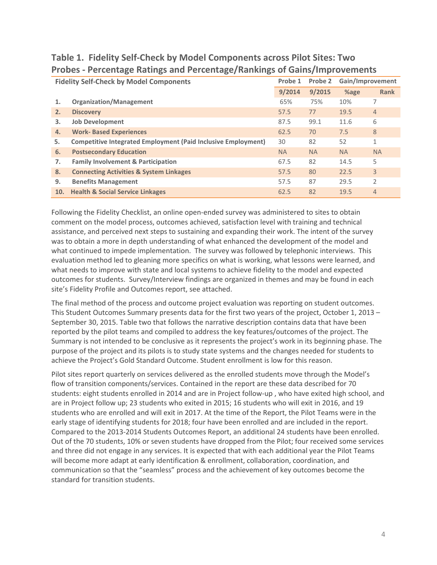|     | <b>Fidelity Self-Check by Model Components</b>                       |           | Probe 2   | Gain/Improvement |                |
|-----|----------------------------------------------------------------------|-----------|-----------|------------------|----------------|
|     |                                                                      | 9/2014    | 9/2015    | %age             | <b>Rank</b>    |
| 1.  | <b>Organization/Management</b>                                       | 65%       | 75%       | 10%              | 7              |
| 2.  | <b>Discovery</b>                                                     | 57.5      | 77        | 19.5             | $\overline{4}$ |
| 3.  | <b>Job Development</b>                                               | 87.5      | 99.1      | 11.6             | 6              |
| 4.  | <b>Work-Based Experiences</b>                                        | 62.5      | 70        | 7.5              | 8              |
| 5.  | <b>Competitive Integrated Employment (Paid Inclusive Employment)</b> | 30        | 82        | 52               | $\mathbf{1}$   |
| 6.  | <b>Postsecondary Education</b>                                       | <b>NA</b> | <b>NA</b> | <b>NA</b>        | <b>NA</b>      |
| 7.  | <b>Family Involvement &amp; Participation</b>                        | 67.5      | 82        | 14.5             | 5              |
| 8.  | <b>Connecting Activities &amp; System Linkages</b>                   | 57.5      | 80        | 22.5             | 3              |
| 9.  | <b>Benefits Management</b>                                           | 57.5      | 87        | 29.5             | 2              |
| 10. | <b>Health &amp; Social Service Linkages</b>                          | 62.5      | 82        | 19.5             | $\overline{4}$ |

#### **Table 1. Fidelity Self-Check by Model Components across Pilot Sites: Two Probes - Percentage Ratings and Percentage/Rankings of Gains/Improvements**

Following the Fidelity Checklist, an online open-ended survey was administered to sites to obtain comment on the model process, outcomes achieved, satisfaction level with training and technical assistance, and perceived next steps to sustaining and expanding their work. The intent of the survey was to obtain a more in depth understanding of what enhanced the development of the model and what continued to impede implementation. The survey was followed by telephonic interviews. This evaluation method led to gleaning more specifics on what is working, what lessons were learned, and what needs to improve with state and local systems to achieve fidelity to the model and expected outcomes for students. Survey/Interview findings are organized in themes and may be found in each site's Fidelity Profile and Outcomes report, see attached.

The final method of the process and outcome project evaluation was reporting on student outcomes. This Student Outcomes Summary presents data for the first two years of the project, October 1, 2013 – September 30, 2015. Table two that follows the narrative description contains data that have been reported by the pilot teams and compiled to address the key features/outcomes of the project. The Summary is not intended to be conclusive as it represents the project's work in its beginning phase. The purpose of the project and its pilots is to study state systems and the changes needed for students to achieve the Project's Gold Standard Outcome. Student enrollment is low for this reason.

Pilot sites report quarterly on services delivered as the enrolled students move through the Model's flow of transition components/services. Contained in the report are these data described for 70 students: eight students enrolled in 2014 and are in Project follow-up , who have exited high school, and are in Project follow up; 23 students who exited in 2015; 16 students who will exit in 2016, and 19 students who are enrolled and will exit in 2017. At the time of the Report, the Pilot Teams were in the early stage of identifying students for 2018; four have been enrolled and are included in the report. Compared to the 2013-2014 Students Outcomes Report, an additional 24 students have been enrolled. Out of the 70 students, 10% or seven students have dropped from the Pilot; four received some services and three did not engage in any services. It is expected that with each additional year the Pilot Teams will become more adapt at early identification & enrollment, collaboration, coordination, and communication so that the "seamless" process and the achievement of key outcomes become the standard for transition students.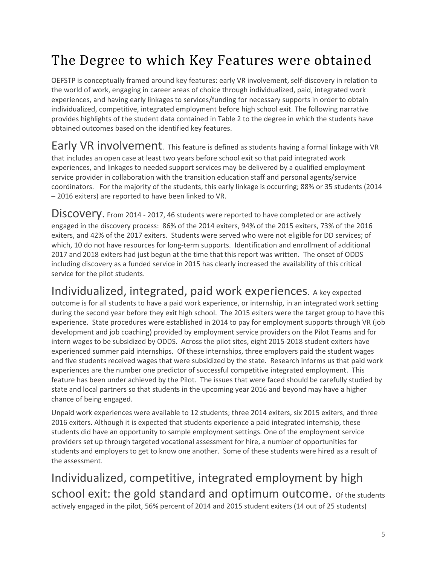# The Degree to which Key Features were obtained

OEFSTP is conceptually framed around key features: early VR involvement, self-discovery in relation to the world of work, engaging in career areas of choice through individualized, paid, integrated work experiences, and having early linkages to services/funding for necessary supports in order to obtain individualized, competitive, integrated employment before high school exit. The following narrative provides highlights of the student data contained in Table 2 to the degree in which the students have obtained outcomes based on the identified key features.

Early VR involvement. This feature is defined as students having a formal linkage with VR that includes an open case at least two years before school exit so that paid integrated work experiences, and linkages to needed support services may be delivered by a qualified employment service provider in collaboration with the transition education staff and personal agents/service coordinators. For the majority of the students, this early linkage is occurring; 88% or 35 students (2014 – 2016 exiters) are reported to have been linked to VR.

DISCOVETY. From 2014 - 2017, 46 students were reported to have completed or are actively engaged in the discovery process: 86% of the 2014 exiters, 94% of the 2015 exiters, 73% of the 2016 exiters, and 42% of the 2017 exiters. Students were served who were not eligible for DD services; of which, 10 do not have resources for long-term supports. Identification and enrollment of additional 2017 and 2018 exiters had just begun at the time that this report was written. The onset of ODDS including discovery as a funded service in 2015 has clearly increased the availability of this critical service for the pilot students.

### Individualized, integrated, paid work experiences. A key expected

outcome is for all students to have a paid work experience, or internship, in an integrated work setting during the second year before they exit high school. The 2015 exiters were the target group to have this experience. State procedures were established in 2014 to pay for employment supports through VR (job development and job coaching) provided by employment service providers on the Pilot Teams and for intern wages to be subsidized by ODDS. Across the pilot sites, eight 2015-2018 student exiters have experienced summer paid internships. Of these internships, three employers paid the student wages and five students received wages that were subsidized by the state. Research informs us that paid work experiences are the number one predictor of successful competitive integrated employment. This feature has been under achieved by the Pilot. The issues that were faced should be carefully studied by state and local partners so that students in the upcoming year 2016 and beyond may have a higher chance of being engaged.

Unpaid work experiences were available to 12 students; three 2014 exiters, six 2015 exiters, and three 2016 exiters. Although it is expected that students experience a paid integrated internship, these students did have an opportunity to sample employment settings. One of the employment service providers set up through targeted vocational assessment for hire, a number of opportunities for students and employers to get to know one another. Some of these students were hired as a result of the assessment.

Individualized, competitive, integrated employment by high school exit: the gold standard and optimum outcome. of the students actively engaged in the pilot, 56% percent of 2014 and 2015 student exiters (14 out of 25 students)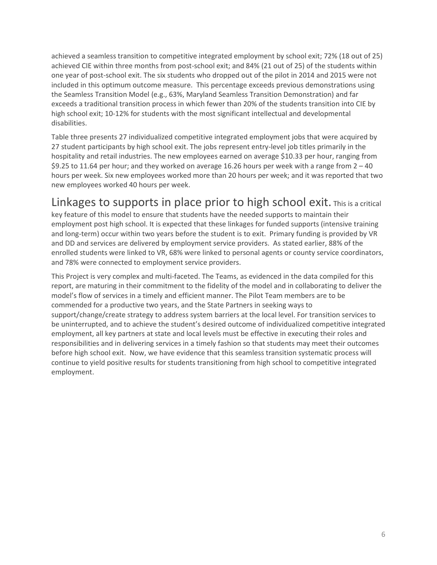achieved a seamless transition to competitive integrated employment by school exit; 72% (18 out of 25) achieved CIE within three months from post-school exit; and 84% (21 out of 25) of the students within one year of post-school exit. The six students who dropped out of the pilot in 2014 and 2015 were not included in this optimum outcome measure. This percentage exceeds previous demonstrations using the Seamless Transition Model (e.g., 63%, Maryland Seamless Transition Demonstration) and far exceeds a traditional transition process in which fewer than 20% of the students transition into CIE by high school exit; 10-12% for students with the most significant intellectual and developmental disabilities.

Table three presents 27 individualized competitive integrated employment jobs that were acquired by 27 student participants by high school exit. The jobs represent entry-level job titles primarily in the hospitality and retail industries. The new employees earned on average \$10.33 per hour, ranging from \$9.25 to 11.64 per hour; and they worked on average 16.26 hours per week with a range from 2 – 40 hours per week. Six new employees worked more than 20 hours per week; and it was reported that two new employees worked 40 hours per week.

### Linkages to supports in place prior to high school exit. This is a critical

key feature of this model to ensure that students have the needed supports to maintain their employment post high school. It is expected that these linkages for funded supports (intensive training and long-term) occur within two years before the student is to exit. Primary funding is provided by VR and DD and services are delivered by employment service providers. As stated earlier, 88% of the enrolled students were linked to VR, 68% were linked to personal agents or county service coordinators, and 78% were connected to employment service providers.

This Project is very complex and multi-faceted. The Teams, as evidenced in the data compiled for this report, are maturing in their commitment to the fidelity of the model and in collaborating to deliver the model's flow of services in a timely and efficient manner. The Pilot Team members are to be commended for a productive two years, and the State Partners in seeking ways to support/change/create strategy to address system barriers at the local level. For transition services to be uninterrupted, and to achieve the student's desired outcome of individualized competitive integrated employment, all key partners at state and local levels must be effective in executing their roles and responsibilities and in delivering services in a timely fashion so that students may meet their outcomes before high school exit. Now, we have evidence that this seamless transition systematic process will continue to yield positive results for students transitioning from high school to competitive integrated employment.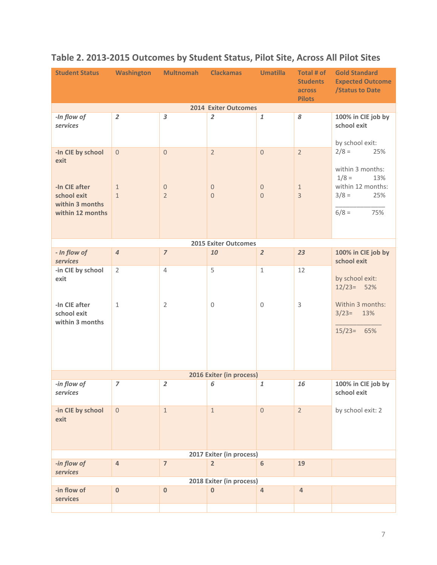| <b>Student Status</b>                                                                            |                                                | Washington Multnomah                               | <b>Clackamas</b>                                       | <b>Umatilla</b>                            | Total # of<br><b>Students</b><br>across<br><b>Pilots</b> | <b>Gold Standard</b><br><b>Expected Outcome</b><br><b>/Status to Date</b>                                     |
|--------------------------------------------------------------------------------------------------|------------------------------------------------|----------------------------------------------------|--------------------------------------------------------|--------------------------------------------|----------------------------------------------------------|---------------------------------------------------------------------------------------------------------------|
|                                                                                                  |                                                |                                                    | <b>2014 Exiter Outcomes</b>                            |                                            |                                                          |                                                                                                               |
| -In flow of<br>services                                                                          | $\overline{2}$                                 | 3                                                  | $\overline{2}$                                         | $\mathbf{1}$                               | 8                                                        | 100% in CIE job by<br>school exit<br>by school exit:                                                          |
| -In CIE by school<br>exit<br>-In CIE after<br>school exit<br>within 3 months<br>within 12 months | $\overline{0}$<br>$\mathbf{1}$<br>$\mathbf{1}$ | $\overline{0}$<br>$\overline{0}$<br>$\overline{2}$ | $\overline{2}$<br>$\boldsymbol{0}$<br>$\boldsymbol{0}$ | $\Omega$<br>$\mathbf{0}$<br>$\overline{0}$ | $\overline{2}$<br>$\mathbf{1}$<br>$\overline{3}$         | $2/8 =$<br>25%<br>within 3 months:<br>$1/8 =$<br>13%<br>within 12 months:<br>$3/8 =$<br>25%<br>$6/8 =$<br>75% |
|                                                                                                  |                                                |                                                    |                                                        |                                            |                                                          |                                                                                                               |
|                                                                                                  |                                                |                                                    | <b>2015 Exiter Outcomes</b>                            |                                            |                                                          |                                                                                                               |
| - In flow of<br><b>services</b>                                                                  | $\overline{4}$                                 | $\overline{z}$                                     | 10                                                     | $\overline{2}$                             | 23                                                       | 100% in CIE job by<br>school exit                                                                             |
| -in CIE by school<br>exit                                                                        | $\overline{2}$                                 | $\overline{4}$                                     | 5                                                      | $\mathbf 1$                                | 12                                                       | by school exit:<br>$12/23 = 52%$                                                                              |
| -In CIE after<br>school exit<br>within 3 months                                                  | $\mathbf{1}$                                   | $\overline{2}$                                     | $\boldsymbol{0}$                                       | $\mathbf{0}$                               | 3                                                        | Within 3 months:<br>$3/23=$<br>13%<br>$15/23 = 65%$                                                           |
|                                                                                                  |                                                |                                                    | 2016 Exiter (in process)                               |                                            |                                                          |                                                                                                               |
| -in flow of<br>services                                                                          | $\overline{z}$                                 | $\overline{2}$                                     | 6                                                      | $\mathbf{1}$                               | 16                                                       | 100% in CIE job by<br>school exit                                                                             |
| -in CIE by school<br>exit                                                                        | $\mathbf 0$                                    | $\mathbf{1}$                                       | $\mathbf{1}$                                           | $\mathbf 0$                                | $\overline{2}$                                           | by school exit: 2                                                                                             |
|                                                                                                  |                                                |                                                    | 2017 Exiter (in process)                               |                                            |                                                          |                                                                                                               |
| -in flow of<br>services                                                                          | $\sqrt{4}$                                     | $\overline{7}$                                     | $\overline{2}$                                         | $6\phantom{a}$                             | 19                                                       |                                                                                                               |
|                                                                                                  |                                                |                                                    | 2018 Exiter (in process)                               |                                            |                                                          |                                                                                                               |
| -in flow of<br>services                                                                          | $\bf{0}$                                       | $\bf{0}$                                           | $\bf{0}$                                               | $\overline{4}$                             | $\overline{4}$                                           |                                                                                                               |
|                                                                                                  |                                                |                                                    |                                                        |                                            |                                                          |                                                                                                               |

### **Table 2. 2013-2015 Outcomes by Student Status, Pilot Site, Across All Pilot Sites**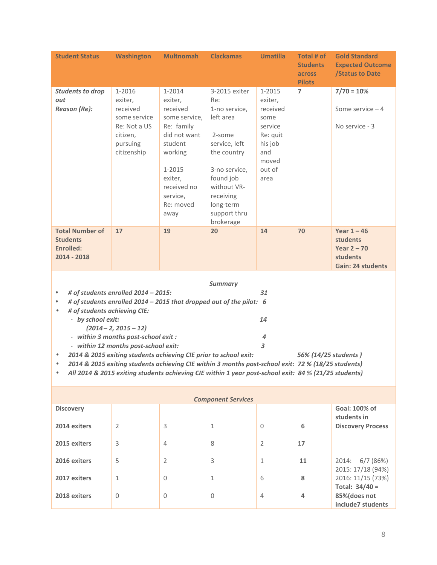| <b>Student Status</b>                                                                                                                                                                                                                                                                                                                                                                                                                                                                                                                                                                                                                                                                         | <b>Washington</b>                                                                                    | <b>Multnomah</b>                                                                                                                                                        | <b>Clackamas</b>                                                                                                                                                                                 | <b>Umatilla</b>                                                                                           | Total # of<br><b>Students</b><br>across<br><b>Pilots</b> | <b>Gold Standard</b><br><b>Expected Outcome</b><br><b>/Status to Date</b>                        |
|-----------------------------------------------------------------------------------------------------------------------------------------------------------------------------------------------------------------------------------------------------------------------------------------------------------------------------------------------------------------------------------------------------------------------------------------------------------------------------------------------------------------------------------------------------------------------------------------------------------------------------------------------------------------------------------------------|------------------------------------------------------------------------------------------------------|-------------------------------------------------------------------------------------------------------------------------------------------------------------------------|--------------------------------------------------------------------------------------------------------------------------------------------------------------------------------------------------|-----------------------------------------------------------------------------------------------------------|----------------------------------------------------------|--------------------------------------------------------------------------------------------------|
| <b>Students to drop</b><br>out<br>Reason (Re):                                                                                                                                                                                                                                                                                                                                                                                                                                                                                                                                                                                                                                                | 1-2016<br>exiter,<br>received<br>some service<br>Re: Not a US<br>citizen,<br>pursuing<br>citizenship | 1-2014<br>exiter,<br>received<br>some service,<br>Re: family<br>did not want<br>student<br>working<br>1-2015<br>exiter,<br>received no<br>service,<br>Re: moved<br>away | 3-2015 exiter<br>Re:<br>1-no service,<br>left area<br>2-some<br>service, left<br>the country<br>3-no service,<br>found job<br>without VR-<br>receiving<br>long-term<br>support thru<br>brokerage | 1-2015<br>exiter,<br>received<br>some<br>service<br>Re: quit<br>his job<br>and<br>moved<br>out of<br>area | $\overline{ }$                                           | $7/70 = 10%$<br>Some service $-4$<br>No service - 3                                              |
| <b>Total Number of</b><br><b>Students</b><br>Enrolled:<br>2014 - 2018                                                                                                                                                                                                                                                                                                                                                                                                                                                                                                                                                                                                                         | 17                                                                                                   | 19                                                                                                                                                                      | 20                                                                                                                                                                                               | 14                                                                                                        | 70                                                       | Year $1 - 46$<br><b>students</b><br>Year $2 - 70$<br><b>students</b><br><b>Gain: 24 students</b> |
| <b>Summary</b><br># of students enrolled 2014 - 2015:<br>31<br>$\bullet$<br># of students enrolled 2014 - 2015 that dropped out of the pilot: 6<br>$\bullet$<br># of students achieving CIE:<br>$\bullet$<br>- by school exit:<br>14<br>$(2014 - 2, 2015 - 12)$<br>- within 3 months post-school exit :<br>4<br>3<br>- within 12 months post-school exit:<br>2014 & 2015 exiting students achieving CIE prior to school exit:<br>56% (14/25 students)<br>$\bullet$<br>2014 & 2015 exiting students achieving CIE within 3 months post-school exit: 72 % (18/25 students)<br>$\bullet$<br>All 2014 & 2015 exiting students achieving CIE within 1 year post-school exit: 84 % (21/25 students) |                                                                                                      |                                                                                                                                                                         |                                                                                                                                                                                                  |                                                                                                           |                                                          |                                                                                                  |
|                                                                                                                                                                                                                                                                                                                                                                                                                                                                                                                                                                                                                                                                                               |                                                                                                      |                                                                                                                                                                         | <b>Component Services</b>                                                                                                                                                                        |                                                                                                           |                                                          |                                                                                                  |
| <b>Discovery</b><br>2014 exiters<br>2015 exiters                                                                                                                                                                                                                                                                                                                                                                                                                                                                                                                                                                                                                                              | 2<br>3                                                                                               | 3<br>4                                                                                                                                                                  | 1<br>8                                                                                                                                                                                           | 0<br>2                                                                                                    | 6<br>17                                                  | Goal: 100% of<br>students in<br><b>Discovery Process</b>                                         |
| 2016 exiters                                                                                                                                                                                                                                                                                                                                                                                                                                                                                                                                                                                                                                                                                  | 5                                                                                                    | 2                                                                                                                                                                       | 3                                                                                                                                                                                                | $\mathbf{1}$                                                                                              | 11                                                       | 6/7(86%)<br>2014:<br>2015:17/18(94%)                                                             |

|                  |                |                | Component Services |                |    |                                       |
|------------------|----------------|----------------|--------------------|----------------|----|---------------------------------------|
| <b>Discovery</b> |                |                |                    |                |    | Goal: 100% of<br>students in          |
| 2014 exiters     | $\overline{2}$ | 3              |                    | $\mathbf{0}$   | 6  | <b>Discovery Process</b>              |
| 2015 exiters     | 3              | $\overline{4}$ | 8                  | $\overline{2}$ | 17 |                                       |
| 2016 exiters     | 5              | $\overline{2}$ | 3                  | 1              | 11 | 2014: 6/7 (86%)<br>2015: 17/18 (94%)  |
| 2017 exiters     | 1              | $\Omega$       | 1                  | 6              | 8  | 2016: 11/15 (73%)<br>Total: $34/40 =$ |
| 2018 exiters     | 0              | 0              | $\Omega$           | 4              | 4  | 85%(does not<br>include7 students     |
|                  |                |                |                    |                |    |                                       |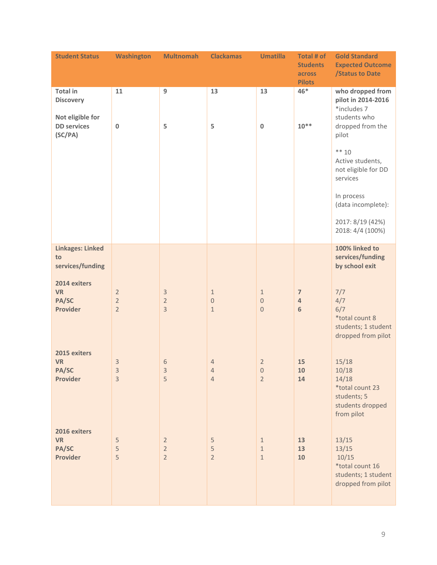| <b>Student Status</b>                                 | <b>Washington</b>                                  | <b>Multnomah</b>                                   | <b>Clackamas</b>                                 | <b>Umatilla</b>                             | Total # of<br><b>Students</b><br>across | <b>Gold Standard</b><br><b>Expected Outcome</b><br><b>/Status to Date</b>                   |
|-------------------------------------------------------|----------------------------------------------------|----------------------------------------------------|--------------------------------------------------|---------------------------------------------|-----------------------------------------|---------------------------------------------------------------------------------------------|
|                                                       |                                                    |                                                    |                                                  |                                             | <b>Pilots</b>                           |                                                                                             |
| <b>Total in</b><br><b>Discovery</b>                   | 11                                                 | 9                                                  | 13                                               | 13                                          | $46*$                                   | who dropped from<br>pilot in 2014-2016<br>*includes 7                                       |
| Not eligible for<br><b>DD</b> services<br>(SC/PA)     | $\pmb{0}$                                          | 5                                                  | 5                                                | $\pmb{0}$                                   | $10^{**}$                               | students who<br>dropped from the<br>pilot                                                   |
|                                                       |                                                    |                                                    |                                                  |                                             |                                         | $** 10$<br>Active students,<br>not eligible for DD<br>services                              |
|                                                       |                                                    |                                                    |                                                  |                                             |                                         | In process<br>(data incomplete):                                                            |
|                                                       |                                                    |                                                    |                                                  |                                             |                                         | 2017: 8/19 (42%)<br>2018: 4/4 (100%)                                                        |
| <b>Linkages: Linked</b><br>to<br>services/funding     |                                                    |                                                    |                                                  |                                             |                                         | 100% linked to<br>services/funding<br>by school exit                                        |
| 2014 exiters<br><b>VR</b><br>PA/SC<br><b>Provider</b> | $\overline{2}$<br>$\overline{2}$<br>$\overline{2}$ | 3<br>$\overline{2}$<br>3                           | $\mathbf{1}$<br>$\boldsymbol{0}$<br>$\mathbf{1}$ | $\mathbf{1}$<br>$\,0\,$<br>$\bf 0$          | $\overline{7}$<br>4<br>$\boldsymbol{6}$ | 7/7<br>4/7<br>6/7<br>*total count 8<br>students; 1 student<br>dropped from pilot            |
| 2015 exiters<br><b>VR</b><br>PA/SC<br><b>Provider</b> | $\ensuremath{\mathsf{3}}$<br>3<br>3                | 6<br>3<br>5                                        | $\overline{4}$<br>4<br>$\overline{4}$            | $\overline{2}$<br>$\,0\,$<br>$\overline{2}$ | 15<br>10<br>14                          | 15/18<br>10/18<br>14/18<br>*total count 23<br>students; 5<br>students dropped<br>from pilot |
| 2016 exiters<br><b>VR</b><br>PA/SC<br>Provider        | $\mathsf S$<br>5<br>5                              | $\overline{2}$<br>$\overline{2}$<br>$\overline{2}$ | 5<br>$\mathsf S$<br>$\overline{2}$               | $\mathbf{1}$<br>$\,1\,$<br>$1\,$            | 13<br>13<br>10                          | 13/15<br>13/15<br>10/15<br>*total count 16<br>students; 1 student<br>dropped from pilot     |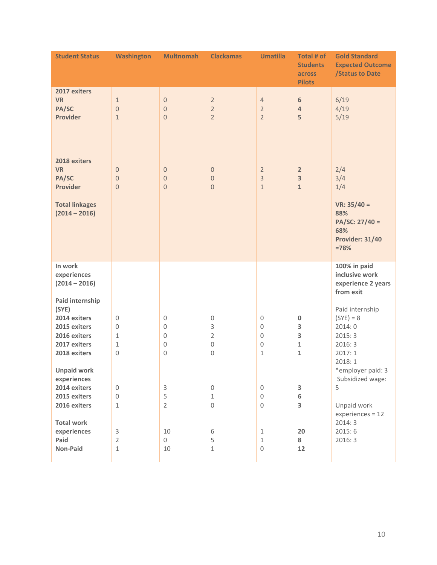| <b>Student Status</b>                                                                 | <b>Washington</b>                                                         | <b>Multnomah</b>                                                                       | <b>Clackamas</b>                                                | <b>Umatilla</b>                                                                              | Total # of<br><b>Students</b><br>across<br><b>Pilots</b> | <b>Gold Standard</b><br><b>Expected Outcome</b><br><b>/Status to Date</b>                              |
|---------------------------------------------------------------------------------------|---------------------------------------------------------------------------|----------------------------------------------------------------------------------------|-----------------------------------------------------------------|----------------------------------------------------------------------------------------------|----------------------------------------------------------|--------------------------------------------------------------------------------------------------------|
| 2017 exiters<br><b>VR</b><br>PA/SC<br><b>Provider</b><br>2018 exiters                 | $\mathbf{1}$<br>$\theta$<br>$1\,$                                         | $\bf 0$<br>$\theta$<br>$\overline{0}$                                                  | $\overline{2}$<br>$\overline{2}$<br>$\overline{2}$              | $\overline{4}$<br>$\overline{2}$<br>$\overline{2}$                                           | $\boldsymbol{6}$<br>$\overline{4}$<br>5                  | 6/19<br>4/19<br>5/19                                                                                   |
| <b>VR</b><br>PA/SC<br><b>Provider</b><br><b>Total linkages</b><br>$(2014 - 2016)$     | $\theta$<br>$\boldsymbol{0}$<br>$\theta$                                  | $\theta$<br>$\theta$<br>$\bf 0$                                                        | $\mathbf 0$<br>$\boldsymbol{0}$<br>$\boldsymbol{0}$             | $\overline{2}$<br>$\overline{3}$<br>$1\,$                                                    | $\overline{2}$<br>3<br>$\mathbf{1}$                      | 2/4<br>3/4<br>1/4<br>$VR: 35/40 =$<br>88%<br>PA/SC: 27/40 =<br>68%<br><b>Provider: 31/40</b><br>$=78%$ |
| In work<br>experiences<br>$(2014 - 2016)$<br>Paid internship                          |                                                                           |                                                                                        |                                                                 |                                                                                              |                                                          | 100% in paid<br>inclusive work<br>experience 2 years<br>from exit                                      |
| (SYE)<br>2014 exiters<br>2015 exiters<br>2016 exiters<br>2017 exiters<br>2018 exiters | $\mathbf 0$<br>$\mathbf 0$<br>$\mathbf{1}$<br>$\mathbf{1}$<br>$\mathbf 0$ | $\mathbf 0$<br>$\boldsymbol{0}$<br>$\boldsymbol{0}$<br>$\boldsymbol{0}$<br>$\mathbf 0$ | $\,0\,$<br>3<br>$\overline{2}$<br>$\mathbf 0$<br>$\overline{0}$ | $\boldsymbol{0}$<br>$\boldsymbol{0}$<br>$\boldsymbol{0}$<br>$\boldsymbol{0}$<br>$\mathbf{1}$ | $\pmb{0}$<br>3<br>3<br>1<br>1                            | Paid internship<br>$(SYE) = 8$<br>2014:0<br>2015:3<br>2016:3<br>2017:1<br>2018:1                       |
| <b>Unpaid work</b><br>experiences<br>2014 exiters<br>2015 exiters<br>2016 exiters     | $\mathbf 0$<br>$\mathbf 0$<br>$\,1\,$                                     | $\ensuremath{\mathsf{3}}$<br>5<br>$\overline{2}$                                       | $\,0\,$<br>$1\,$<br>$\boldsymbol{0}$                            | $\boldsymbol{0}$<br>$\mathbf 0$<br>$\boldsymbol{0}$                                          | 3<br>6<br>3                                              | *employer paid: 3<br>Subsidized wage:<br>5<br>Unpaid work<br>$experiences = 12$                        |
| <b>Total work</b><br>experiences<br>Paid<br>Non-Paid                                  | 3<br>$\overline{2}$<br>$\,1\,$                                            | 10<br>$\mathbf 0$<br>10                                                                | 6<br>5<br>$\mathbf 1$                                           | $1\,$<br>$\,1\,$<br>$\boldsymbol{0}$                                                         | 20<br>8<br>12                                            | 2014:3<br>2015:6<br>2016:3                                                                             |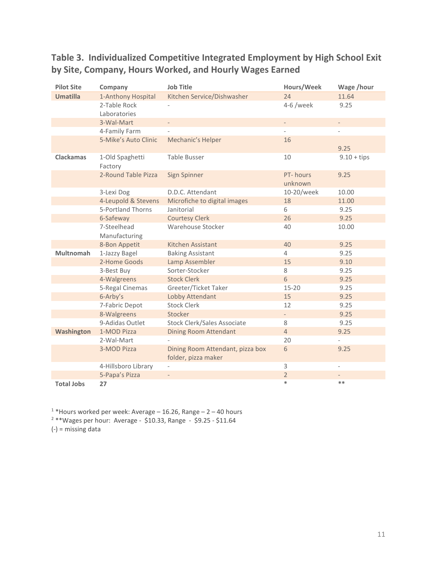### **Table 3. Individualized Competitive Integrated Employment by High School Exit by Site, Company, Hours Worked, and Hourly Wages Earned**

| <b>Pilot Site</b> | Company                    | <b>Job Title</b>                   | Hours/Week               | Wage /hour               |
|-------------------|----------------------------|------------------------------------|--------------------------|--------------------------|
| <b>Umatilla</b>   | 1-Anthony Hospital         | Kitchen Service/Dishwasher         | 24                       | 11.64                    |
|                   | 2-Table Rock               |                                    | 4-6 /week                | 9.25                     |
|                   | Laboratories               |                                    |                          |                          |
|                   | 3-Wal-Mart                 | $\overline{a}$                     |                          | $\label{eq:reduced}$     |
|                   | 4-Family Farm              |                                    | $\overline{\phantom{0}}$ | $\overline{a}$           |
|                   | 5-Mike's Auto Clinic       | Mechanic's Helper                  | 16                       |                          |
|                   |                            |                                    |                          | 9.25                     |
| <b>Clackamas</b>  | 1-Old Spaghetti<br>Factory | <b>Table Busser</b>                | 10                       | $9.10 + tips$            |
|                   | 2-Round Table Pizza        | Sign Spinner                       | PT-hours<br>unknown      | 9.25                     |
|                   | 3-Lexi Dog                 | D.D.C. Attendant                   | 10-20/week               | 10.00                    |
|                   | 4-Leupold & Stevens        | Microfiche to digital images       | 18                       | 11.00                    |
|                   | 5-Portland Thorns          | Janitorial                         | 6                        | 9.25                     |
|                   | 6-Safeway                  | <b>Courtesy Clerk</b>              | 26                       | 9.25                     |
|                   | 7-Steelhead                | Warehouse Stocker                  | 40                       | 10.00                    |
|                   | Manufacturing              |                                    |                          |                          |
|                   | 8-Bon Appetit              | Kitchen Assistant                  | 40                       | 9.25                     |
| <b>Multnomah</b>  | 1-Jazzy Bagel              | <b>Baking Assistant</b>            | $\overline{4}$           | 9.25                     |
|                   | 2-Home Goods               | Lamp Assembler                     | 15                       | 9.10                     |
|                   | 3-Best Buy                 | Sorter-Stocker                     | 8                        | 9.25                     |
|                   | 4-Walgreens                | <b>Stock Clerk</b>                 | $6\,$                    | 9.25                     |
|                   | 5-Regal Cinemas            | Greeter/Ticket Taker               | $15 - 20$                | 9.25                     |
|                   | 6-Arby's                   | Lobby Attendant                    | 15                       | 9.25                     |
|                   | 7-Fabric Depot             | <b>Stock Clerk</b>                 | 12                       | 9.25                     |
|                   | 8-Walgreens                | Stocker                            | $\overline{\phantom{a}}$ | 9.25                     |
|                   | 9-Adidas Outlet            | <b>Stock Clerk/Sales Associate</b> | 8                        | 9.25                     |
| Washington        | 1-MOD Pizza                | <b>Dining Room Attendant</b>       | $\overline{4}$           | 9.25                     |
|                   | 2-Wal-Mart                 |                                    | 20                       |                          |
|                   | 3-MOD Pizza                | Dining Room Attendant, pizza box   | 6                        | 9.25                     |
|                   |                            | folder, pizza maker                |                          |                          |
|                   | 4-Hillsboro Library        |                                    | 3                        | $\overline{\phantom{a}}$ |
|                   | 5-Papa's Pizza             |                                    | $\overline{2}$           |                          |
| <b>Total Jobs</b> | 27                         |                                    | $\ast$                   | $***$                    |

 $1 *$ Hours worked per week: Average  $- 16.26$ , Range  $- 2 - 40$  hours

<sup>2</sup> \*\*Wages per hour: Average - \$10.33, Range - \$9.25 - \$11.64

 $(-)$  = missing data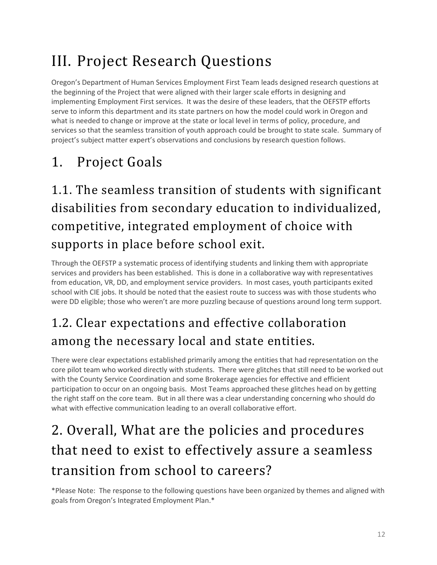# III. Project Research Questions

Oregon's Department of Human Services Employment First Team leads designed research questions at the beginning of the Project that were aligned with their larger scale efforts in designing and implementing Employment First services. It was the desire of these leaders, that the OEFSTP efforts serve to inform this department and its state partners on how the model could work in Oregon and what is needed to change or improve at the state or local level in terms of policy, procedure, and services so that the seamless transition of youth approach could be brought to state scale. Summary of project's subject matter expert's observations and conclusions by research question follows.

# 1. Project Goals

# 1.1. The seamless transition of students with significant disabilities from secondary education to individualized, competitive, integrated employment of choice with supports in place before school exit.

Through the OEFSTP a systematic process of identifying students and linking them with appropriate services and providers has been established. This is done in a collaborative way with representatives from education, VR, DD, and employment service providers. In most cases, youth participants exited school with CIE jobs. It should be noted that the easiest route to success was with those students who were DD eligible; those who weren't are more puzzling because of questions around long term support.

# 1.2. Clear expectations and effective collaboration among the necessary local and state entities.

There were clear expectations established primarily among the entities that had representation on the core pilot team who worked directly with students. There were glitches that still need to be worked out with the County Service Coordination and some Brokerage agencies for effective and efficient participation to occur on an ongoing basis. Most Teams approached these glitches head on by getting the right staff on the core team. But in all there was a clear understanding concerning who should do what with effective communication leading to an overall collaborative effort.

# 2. Overall, What are the policies and procedures that need to exist to effectively assure a seamless transition from school to careers?

\*Please Note: The response to the following questions have been organized by themes and aligned with goals from Oregon's Integrated Employment Plan.\*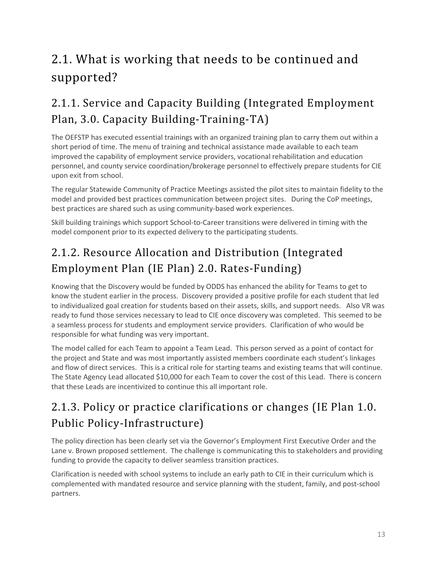# 2.1. What is working that needs to be continued and supported?

## 2.1.1. Service and Capacity Building (Integrated Employment Plan, 3.0. Capacity Building-Training-TA)

The OEFSTP has executed essential trainings with an organized training plan to carry them out within a short period of time. The menu of training and technical assistance made available to each team improved the capability of employment service providers, vocational rehabilitation and education personnel, and county service coordination/brokerage personnel to effectively prepare students for CIE upon exit from school.

The regular Statewide Community of Practice Meetings assisted the pilot sites to maintain fidelity to the model and provided best practices communication between project sites. During the CoP meetings, best practices are shared such as using community-based work experiences.

Skill building trainings which support School-to-Career transitions were delivered in timing with the model component prior to its expected delivery to the participating students.

## 2.1.2. Resource Allocation and Distribution (Integrated Employment Plan (IE Plan) 2.0. Rates-Funding)

Knowing that the Discovery would be funded by ODDS has enhanced the ability for Teams to get to know the student earlier in the process. Discovery provided a positive profile for each student that led to individualized goal creation for students based on their assets, skills, and support needs. Also VR was ready to fund those services necessary to lead to CIE once discovery was completed. This seemed to be a seamless process for students and employment service providers. Clarification of who would be responsible for what funding was very important.

The model called for each Team to appoint a Team Lead. This person served as a point of contact for the project and State and was most importantly assisted members coordinate each student's linkages and flow of direct services. This is a critical role for starting teams and existing teams that will continue. The State Agency Lead allocated \$10,000 for each Team to cover the cost of this Lead. There is concern that these Leads are incentivized to continue this all important role.

## 2.1.3. Policy or practice clarifications or changes (IE Plan 1.0. Public Policy-Infrastructure)

The policy direction has been clearly set via the Governor's Employment First Executive Order and the Lane v. Brown proposed settlement. The challenge is communicating this to stakeholders and providing funding to provide the capacity to deliver seamless transition practices.

Clarification is needed with school systems to include an early path to CIE in their curriculum which is complemented with mandated resource and service planning with the student, family, and post-school partners.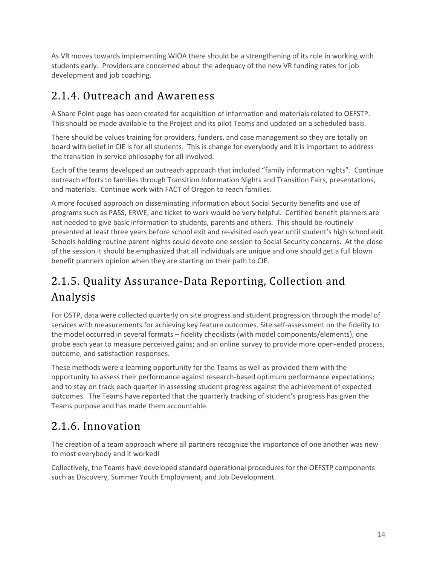As VR moves towards implementing WIOA there should be a strengthening of its role in working with students early. Providers are concerned about the adequacy of the new VR funding rates for job development and job coaching.

### 2.1.4. Outreach and Awareness

A Share Point page has been created for acquisition of information and materials related to OEFSTP. This should be made available to the Project and its pilot Teams and updated on a scheduled basis.

There should be values training for providers, funders, and case management so they are totally on board with belief in CIE is for all students. This is change for everybody and it is important to address the transition in service philosophy for all involved.

Each of the teams developed an outreach approach that included "family information nights". Continue outreach efforts to families through Transition Information Nights and Transition Fairs, presentations, and materials. Continue work with FACT of Oregon to reach families.

A more focused approach on disseminating information about Social Security benefits and use of programs such as PASS, ERWE, and ticket to work would be very helpful. Certified benefit planners are not needed to give basic information to students, parents and others. This should be routinely presented at least three years before school exit and re-visited each year until student's high school exit. Schools holding routine parent nights could devote one session to Social Security concerns. At the close of the session it should be emphasized that all individuals are unique and one should get a full blown benefit planners opinion when they are starting on their path to CIE.

## 2.1.5. Quality Assurance-Data Reporting, Collection and Analysis

For OSTP, data were collected quarterly on site progress and student progression through the model of services with measurements for achieving key feature outcomes. Site self-assessment on the fidelity to the model occurred in several formats – fidelity checklists (with model components/elements), one probe each year to measure perceived gains; and an online survey to provide more open-ended process, outcome, and satisfaction responses.

These methods were a learning opportunity for the Teams as well as provided them with the opportunity to assess their performance against research-based optimum performance expectations; and to stay on track each quarter in assessing student progress against the achievement of expected outcomes. The Teams have reported that the quarterly tracking of student's progress has given the Teams purpose and has made them accountable.

## 2.1.6. Innovation

The creation of a team approach where all partners recognize the importance of one another was new to most everybody and it worked!

Collectively, the Teams have developed standard operational procedures for the OEFSTP components such as Discovery, Summer Youth Employment, and Job Development.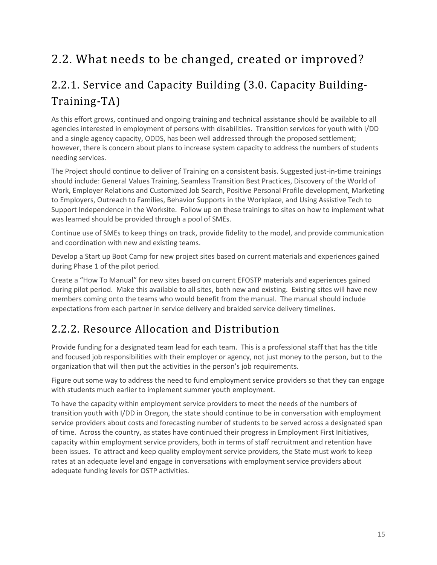## 2.2. What needs to be changed, created or improved?

## 2.2.1. Service and Capacity Building (3.0. Capacity Building-Training-TA)

As this effort grows, continued and ongoing training and technical assistance should be available to all agencies interested in employment of persons with disabilities. Transition services for youth with I/DD and a single agency capacity, ODDS, has been well addressed through the proposed settlement; however, there is concern about plans to increase system capacity to address the numbers of students needing services.

The Project should continue to deliver of Training on a consistent basis. Suggested just-in-time trainings should include: General Values Training, Seamless Transition Best Practices, Discovery of the World of Work, Employer Relations and Customized Job Search, Positive Personal Profile development, Marketing to Employers, Outreach to Families, Behavior Supports in the Workplace, and Using Assistive Tech to Support Independence in the Worksite. Follow up on these trainings to sites on how to implement what was learned should be provided through a pool of SMEs.

Continue use of SMEs to keep things on track, provide fidelity to the model, and provide communication and coordination with new and existing teams.

Develop a Start up Boot Camp for new project sites based on current materials and experiences gained during Phase 1 of the pilot period.

Create a "How To Manual" for new sites based on current EFOSTP materials and experiences gained during pilot period. Make this available to all sites, both new and existing. Existing sites will have new members coming onto the teams who would benefit from the manual. The manual should include expectations from each partner in service delivery and braided service delivery timelines.

### 2.2.2. Resource Allocation and Distribution

Provide funding for a designated team lead for each team. This is a professional staff that has the title and focused job responsibilities with their employer or agency, not just money to the person, but to the organization that will then put the activities in the person's job requirements.

Figure out some way to address the need to fund employment service providers so that they can engage with students much earlier to implement summer youth employment.

To have the capacity within employment service providers to meet the needs of the numbers of transition youth with I/DD in Oregon, the state should continue to be in conversation with employment service providers about costs and forecasting number of students to be served across a designated span of time. Across the country, as states have continued their progress in Employment First Initiatives, capacity within employment service providers, both in terms of staff recruitment and retention have been issues. To attract and keep quality employment service providers, the State must work to keep rates at an adequate level and engage in conversations with employment service providers about adequate funding levels for OSTP activities.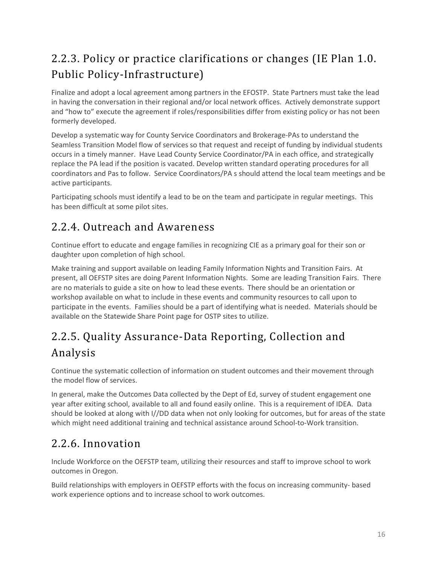## 2.2.3. Policy or practice clarifications or changes (IE Plan 1.0. Public Policy-Infrastructure)

Finalize and adopt a local agreement among partners in the EFOSTP. State Partners must take the lead in having the conversation in their regional and/or local network offices. Actively demonstrate support and "how to" execute the agreement if roles/responsibilities differ from existing policy or has not been formerly developed.

Develop a systematic way for County Service Coordinators and Brokerage-PAs to understand the Seamless Transition Model flow of services so that request and receipt of funding by individual students occurs in a timely manner. Have Lead County Service Coordinator/PA in each office, and strategically replace the PA lead if the position is vacated. Develop written standard operating procedures for all coordinators and Pas to follow. Service Coordinators/PA s should attend the local team meetings and be active participants.

Participating schools must identify a lead to be on the team and participate in regular meetings. This has been difficult at some pilot sites.

### 2.2.4. Outreach and Awareness

Continue effort to educate and engage families in recognizing CIE as a primary goal for their son or daughter upon completion of high school.

Make training and support available on leading Family Information Nights and Transition Fairs. At present, all OEFSTP sites are doing Parent Information Nights. Some are leading Transition Fairs. There are no materials to guide a site on how to lead these events. There should be an orientation or workshop available on what to include in these events and community resources to call upon to participate in the events. Families should be a part of identifying what is needed. Materials should be available on the Statewide Share Point page for OSTP sites to utilize.

## 2.2.5. Quality Assurance-Data Reporting, Collection and Analysis

Continue the systematic collection of information on student outcomes and their movement through the model flow of services.

In general, make the Outcomes Data collected by the Dept of Ed, survey of student engagement one year after exiting school, available to all and found easily online. This is a requirement of IDEA. Data should be looked at along with I//DD data when not only looking for outcomes, but for areas of the state which might need additional training and technical assistance around School-to-Work transition.

### 2.2.6. Innovation

Include Workforce on the OEFSTP team, utilizing their resources and staff to improve school to work outcomes in Oregon.

Build relationships with employers in OEFSTP efforts with the focus on increasing community- based work experience options and to increase school to work outcomes.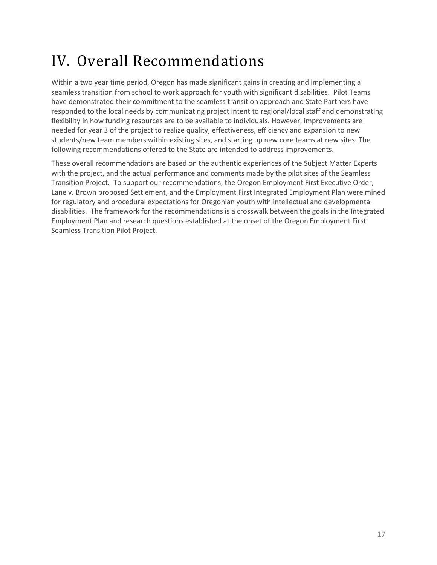# IV. Overall Recommendations

Within a two year time period, Oregon has made significant gains in creating and implementing a seamless transition from school to work approach for youth with significant disabilities. Pilot Teams have demonstrated their commitment to the seamless transition approach and State Partners have responded to the local needs by communicating project intent to regional/local staff and demonstrating flexibility in how funding resources are to be available to individuals. However, improvements are needed for year 3 of the project to realize quality, effectiveness, efficiency and expansion to new students/new team members within existing sites, and starting up new core teams at new sites. The following recommendations offered to the State are intended to address improvements.

These overall recommendations are based on the authentic experiences of the Subject Matter Experts with the project, and the actual performance and comments made by the pilot sites of the Seamless Transition Project. To support our recommendations, the Oregon Employment First Executive Order, Lane v. Brown proposed Settlement, and the Employment First Integrated Employment Plan were mined for regulatory and procedural expectations for Oregonian youth with intellectual and developmental disabilities. The framework for the recommendations is a crosswalk between the goals in the Integrated Employment Plan and research questions established at the onset of the Oregon Employment First Seamless Transition Pilot Project.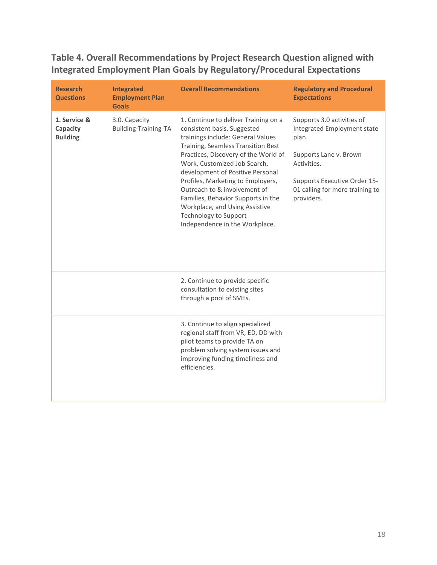**Table 4. Overall Recommendations by Project Research Question aligned with Integrated Employment Plan Goals by Regulatory/Procedural Expectations** 

| <b>Research</b><br><b>Questions</b>         | <b>Integrated</b><br><b>Employment Plan</b><br><b>Goals</b> | <b>Overall Recommendations</b>                                                                                                                                                                                                                                                                                                                                                                                                                                            | <b>Regulatory and Procedural</b><br><b>Expectations</b>                                                                                                                                      |
|---------------------------------------------|-------------------------------------------------------------|---------------------------------------------------------------------------------------------------------------------------------------------------------------------------------------------------------------------------------------------------------------------------------------------------------------------------------------------------------------------------------------------------------------------------------------------------------------------------|----------------------------------------------------------------------------------------------------------------------------------------------------------------------------------------------|
| 1. Service &<br>Capacity<br><b>Building</b> | 3.0. Capacity<br>Building-Training-TA                       | 1. Continue to deliver Training on a<br>consistent basis. Suggested<br>trainings include: General Values<br>Training, Seamless Transition Best<br>Practices, Discovery of the World of<br>Work, Customized Job Search,<br>development of Positive Personal<br>Profiles, Marketing to Employers,<br>Outreach to & involvement of<br>Families, Behavior Supports in the<br>Workplace, and Using Assistive<br><b>Technology to Support</b><br>Independence in the Workplace. | Supports 3.0 activities of<br>Integrated Employment state<br>plan.<br>Supports Lane v. Brown<br>Activities.<br>Supports Executive Order 15-<br>01 calling for more training to<br>providers. |
|                                             |                                                             | 2. Continue to provide specific<br>consultation to existing sites<br>through a pool of SMEs.                                                                                                                                                                                                                                                                                                                                                                              |                                                                                                                                                                                              |
|                                             |                                                             | 3. Continue to align specialized<br>regional staff from VR, ED, DD with<br>pilot teams to provide TA on<br>problem solving system issues and<br>improving funding timeliness and<br>efficiencies.                                                                                                                                                                                                                                                                         |                                                                                                                                                                                              |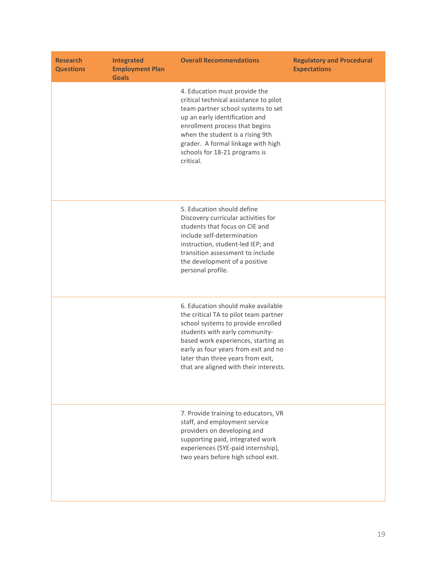| <b>Research</b><br><b>Questions</b> | <b>Integrated</b><br><b>Employment Plan</b><br><b>Goals</b> | <b>Overall Recommendations</b>                                                                                                                                                                                                                                                                                    | <b>Regulatory and Procedural</b><br><b>Expectations</b> |
|-------------------------------------|-------------------------------------------------------------|-------------------------------------------------------------------------------------------------------------------------------------------------------------------------------------------------------------------------------------------------------------------------------------------------------------------|---------------------------------------------------------|
|                                     |                                                             | 4. Education must provide the<br>critical technical assistance to pilot<br>team partner school systems to set<br>up an early identification and<br>enrollment process that begins<br>when the student is a rising 9th<br>grader. A formal linkage with high<br>schools for 18-21 programs is<br>critical.         |                                                         |
|                                     |                                                             | 5. Education should define<br>Discovery curricular activities for<br>students that focus on CIE and<br>include self-determination<br>instruction, student-led IEP; and<br>transition assessment to include<br>the development of a positive<br>personal profile.                                                  |                                                         |
|                                     |                                                             | 6. Education should make available<br>the critical TA to pilot team partner<br>school systems to provide enrolled<br>students with early community-<br>based work experiences, starting as<br>early as four years from exit and no<br>later than three years from exit,<br>that are aligned with their interests. |                                                         |
|                                     |                                                             | 7. Provide training to educators, VR<br>staff, and employment service<br>providers on developing and<br>supporting paid, integrated work<br>experiences (SYE-paid internship),<br>two years before high school exit.                                                                                              |                                                         |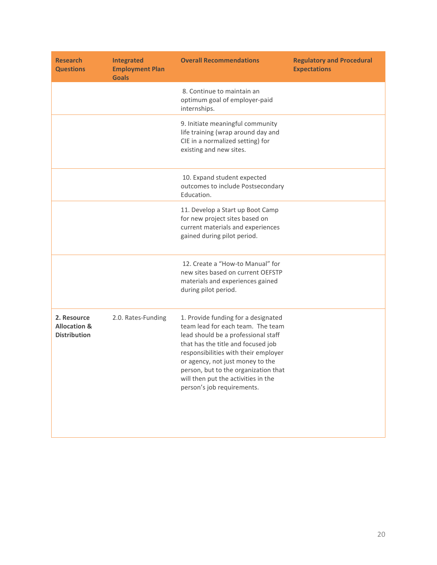| <b>Research</b><br><b>Questions</b>                           | <b>Integrated</b><br><b>Employment Plan</b><br><b>Goals</b> | <b>Overall Recommendations</b>                                                                                                                                                                                                                                                                                                                 | <b>Regulatory and Procedural</b><br><b>Expectations</b> |
|---------------------------------------------------------------|-------------------------------------------------------------|------------------------------------------------------------------------------------------------------------------------------------------------------------------------------------------------------------------------------------------------------------------------------------------------------------------------------------------------|---------------------------------------------------------|
|                                                               |                                                             | 8. Continue to maintain an<br>optimum goal of employer-paid<br>internships.                                                                                                                                                                                                                                                                    |                                                         |
|                                                               |                                                             | 9. Initiate meaningful community<br>life training (wrap around day and<br>CIE in a normalized setting) for<br>existing and new sites.                                                                                                                                                                                                          |                                                         |
|                                                               |                                                             | 10. Expand student expected<br>outcomes to include Postsecondary<br>Education.                                                                                                                                                                                                                                                                 |                                                         |
|                                                               |                                                             | 11. Develop a Start up Boot Camp<br>for new project sites based on<br>current materials and experiences<br>gained during pilot period.                                                                                                                                                                                                         |                                                         |
|                                                               |                                                             | 12. Create a "How-to Manual" for<br>new sites based on current OEFSTP<br>materials and experiences gained<br>during pilot period.                                                                                                                                                                                                              |                                                         |
| 2. Resource<br><b>Allocation &amp;</b><br><b>Distribution</b> | 2.0. Rates-Funding                                          | 1. Provide funding for a designated<br>team lead for each team. The team<br>lead should be a professional staff<br>that has the title and focused job<br>responsibilities with their employer<br>or agency, not just money to the<br>person, but to the organization that<br>will then put the activities in the<br>person's job requirements. |                                                         |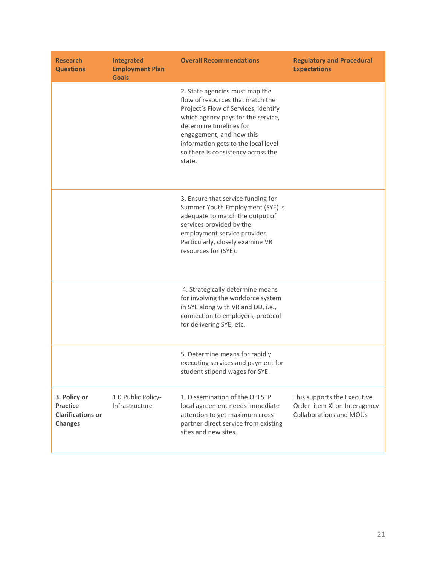| <b>Research</b><br><b>Questions</b>                                           | <b>Integrated</b><br><b>Employment Plan</b><br><b>Goals</b> | <b>Overall Recommendations</b>                                                                                                                                                                                                                                                                 | <b>Regulatory and Procedural</b><br><b>Expectations</b>                                       |
|-------------------------------------------------------------------------------|-------------------------------------------------------------|------------------------------------------------------------------------------------------------------------------------------------------------------------------------------------------------------------------------------------------------------------------------------------------------|-----------------------------------------------------------------------------------------------|
|                                                                               |                                                             | 2. State agencies must map the<br>flow of resources that match the<br>Project's Flow of Services, identify<br>which agency pays for the service,<br>determine timelines for<br>engagement, and how this<br>information gets to the local level<br>so there is consistency across the<br>state. |                                                                                               |
|                                                                               |                                                             | 3. Ensure that service funding for<br>Summer Youth Employment (SYE) is<br>adequate to match the output of<br>services provided by the<br>employment service provider.<br>Particularly, closely examine VR<br>resources for (SYE).                                                              |                                                                                               |
|                                                                               |                                                             | 4. Strategically determine means<br>for involving the workforce system<br>in SYE along with VR and DD, i.e.,<br>connection to employers, protocol<br>for delivering SYE, etc.                                                                                                                  |                                                                                               |
|                                                                               |                                                             | 5. Determine means for rapidly<br>executing services and payment for<br>student stipend wages for SYE.                                                                                                                                                                                         |                                                                                               |
| 3. Policy or<br><b>Practice</b><br><b>Clarifications or</b><br><b>Changes</b> | 1.0. Public Policy-<br>Infrastructure                       | 1. Dissemination of the OEFSTP<br>local agreement needs immediate<br>attention to get maximum cross-<br>partner direct service from existing<br>sites and new sites.                                                                                                                           | This supports the Executive<br>Order item XI on Interagency<br><b>Collaborations and MOUs</b> |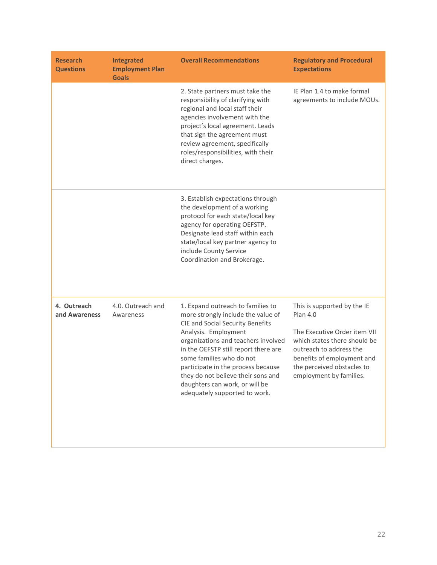| <b>Research</b><br><b>Questions</b> | <b>Integrated</b><br><b>Employment Plan</b><br><b>Goals</b> | <b>Overall Recommendations</b>                                                                                                                                                                                                                                                                                                                                                                | <b>Regulatory and Procedural</b><br><b>Expectations</b>                                                                                                                                                                          |
|-------------------------------------|-------------------------------------------------------------|-----------------------------------------------------------------------------------------------------------------------------------------------------------------------------------------------------------------------------------------------------------------------------------------------------------------------------------------------------------------------------------------------|----------------------------------------------------------------------------------------------------------------------------------------------------------------------------------------------------------------------------------|
|                                     |                                                             | 2. State partners must take the<br>responsibility of clarifying with<br>regional and local staff their<br>agencies involvement with the<br>project's local agreement. Leads<br>that sign the agreement must<br>review agreement, specifically<br>roles/responsibilities, with their<br>direct charges.                                                                                        | IE Plan 1.4 to make formal<br>agreements to include MOUs.                                                                                                                                                                        |
|                                     |                                                             | 3. Establish expectations through<br>the development of a working<br>protocol for each state/local key<br>agency for operating OEFSTP.<br>Designate lead staff within each<br>state/local key partner agency to<br>include County Service<br>Coordination and Brokerage.                                                                                                                      |                                                                                                                                                                                                                                  |
| 4. Outreach<br>and Awareness        | 4.0. Outreach and<br>Awareness                              | 1. Expand outreach to families to<br>more strongly include the value of<br>CIE and Social Security Benefits<br>Analysis. Employment<br>organizations and teachers involved<br>in the OEFSTP still report there are<br>some families who do not<br>participate in the process because<br>they do not believe their sons and<br>daughters can work, or will be<br>adequately supported to work. | This is supported by the IE<br><b>Plan 4.0</b><br>The Executive Order item VII<br>which states there should be<br>outreach to address the<br>benefits of employment and<br>the perceived obstacles to<br>employment by families. |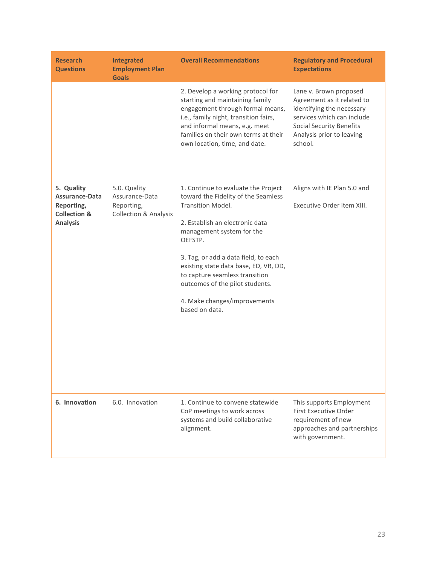| <b>Research</b><br><b>Questions</b>                                                      | <b>Integrated</b><br><b>Employment Plan</b><br><b>Goals</b>                      | <b>Overall Recommendations</b>                                                                                                                                                                                                                                                                                                                                                            | <b>Regulatory and Procedural</b><br><b>Expectations</b>                                                                                                                                    |
|------------------------------------------------------------------------------------------|----------------------------------------------------------------------------------|-------------------------------------------------------------------------------------------------------------------------------------------------------------------------------------------------------------------------------------------------------------------------------------------------------------------------------------------------------------------------------------------|--------------------------------------------------------------------------------------------------------------------------------------------------------------------------------------------|
|                                                                                          |                                                                                  | 2. Develop a working protocol for<br>starting and maintaining family<br>engagement through formal means,<br>i.e., family night, transition fairs,<br>and informal means, e.g. meet<br>families on their own terms at their<br>own location, time, and date.                                                                                                                               | Lane v. Brown proposed<br>Agreement as it related to<br>identifying the necessary<br>services which can include<br><b>Social Security Benefits</b><br>Analysis prior to leaving<br>school. |
| 5. Quality<br>Assurance-Data<br>Reporting,<br><b>Collection &amp;</b><br><b>Analysis</b> | 5.0. Quality<br>Assurance-Data<br>Reporting,<br><b>Collection &amp; Analysis</b> | 1. Continue to evaluate the Project<br>toward the Fidelity of the Seamless<br><b>Transition Model.</b><br>2. Establish an electronic data<br>management system for the<br>OEFSTP.<br>3. Tag, or add a data field, to each<br>existing state data base, ED, VR, DD,<br>to capture seamless transition<br>outcomes of the pilot students.<br>4. Make changes/improvements<br>based on data. | Aligns with IE Plan 5.0 and<br>Executive Order item XIII.                                                                                                                                  |
| 6. Innovation                                                                            | 6.0. Innovation                                                                  | 1. Continue to convene statewide<br>CoP meetings to work across<br>systems and build collaborative<br>alignment.                                                                                                                                                                                                                                                                          | This supports Employment<br><b>First Executive Order</b><br>requirement of new<br>approaches and partnerships<br>with government.                                                          |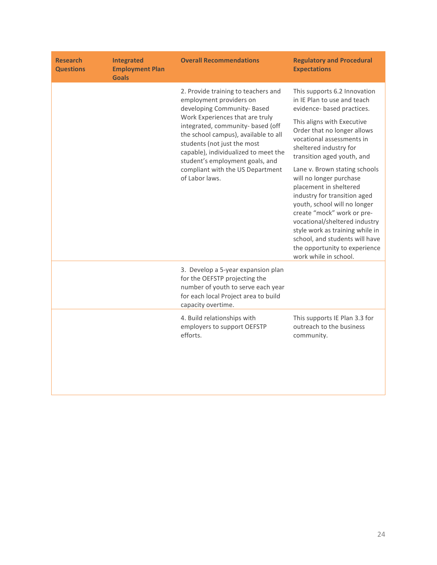| <b>Research</b><br><b>Questions</b> | <b>Integrated</b><br><b>Employment Plan</b><br><b>Goals</b> | <b>Overall Recommendations</b>                                                                                                                                                                                                                                                                                                                                                | <b>Regulatory and Procedural</b><br><b>Expectations</b>                                                                                                                                                                                                                                                                                                                                                                                                                                                                                                                                         |
|-------------------------------------|-------------------------------------------------------------|-------------------------------------------------------------------------------------------------------------------------------------------------------------------------------------------------------------------------------------------------------------------------------------------------------------------------------------------------------------------------------|-------------------------------------------------------------------------------------------------------------------------------------------------------------------------------------------------------------------------------------------------------------------------------------------------------------------------------------------------------------------------------------------------------------------------------------------------------------------------------------------------------------------------------------------------------------------------------------------------|
|                                     |                                                             | 2. Provide training to teachers and<br>employment providers on<br>developing Community- Based<br>Work Experiences that are truly<br>integrated, community- based (off<br>the school campus), available to all<br>students (not just the most<br>capable), individualized to meet the<br>student's employment goals, and<br>compliant with the US Department<br>of Labor laws. | This supports 6.2 Innovation<br>in IE Plan to use and teach<br>evidence- based practices.<br>This aligns with Executive<br>Order that no longer allows<br>vocational assessments in<br>sheltered industry for<br>transition aged youth, and<br>Lane v. Brown stating schools<br>will no longer purchase<br>placement in sheltered<br>industry for transition aged<br>youth, school will no longer<br>create "mock" work or pre-<br>vocational/sheltered industry<br>style work as training while in<br>school, and students will have<br>the opportunity to experience<br>work while in school. |
|                                     |                                                             | 3. Develop a 5-year expansion plan<br>for the OEFSTP projecting the<br>number of youth to serve each year<br>for each local Project area to build<br>capacity overtime.                                                                                                                                                                                                       |                                                                                                                                                                                                                                                                                                                                                                                                                                                                                                                                                                                                 |
|                                     |                                                             | 4. Build relationships with<br>employers to support OEFSTP<br>efforts.                                                                                                                                                                                                                                                                                                        | This supports IE Plan 3.3 for<br>outreach to the business<br>community.                                                                                                                                                                                                                                                                                                                                                                                                                                                                                                                         |

<u> 1980 - Johann Barn, mars eta bainar eta baina eta baina eta baina eta baina eta baina eta baina eta baina e</u>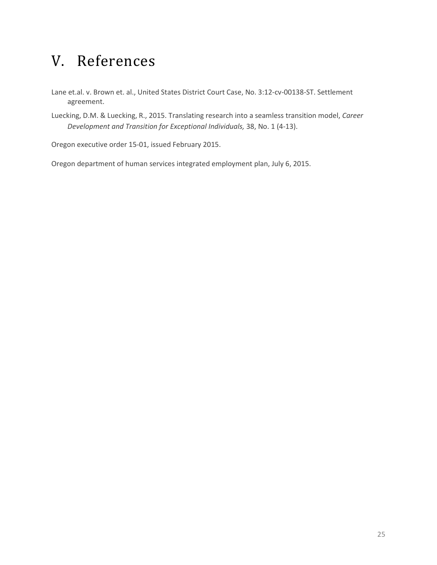# V. References

Lane et.al. v. Brown et. al., United States District Court Case, No. 3:12-cv-00138-ST. Settlement agreement.

Luecking, D.M. & Luecking, R., 2015. Translating research into a seamless transition model, *Career Development and Transition for Exceptional Individuals,* 38, No. 1 (4-13).

Oregon executive order 15-01, issued February 2015.

Oregon department of human services integrated employment plan, July 6, 2015.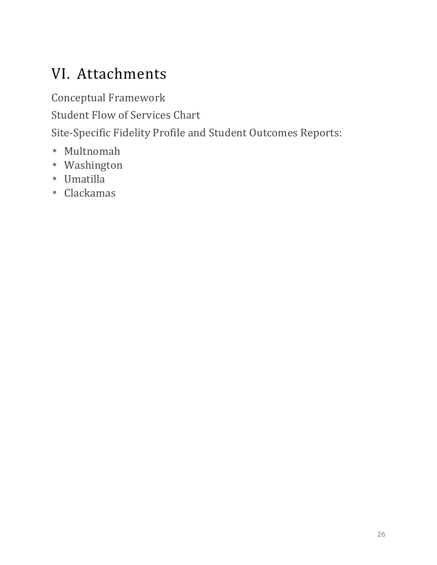# VI. Attachments

Conceptual Framework Student Flow of Services Chart

Site-Specific Fidelity Profile and Student Outcomes Reports:

- Multnomah
- Washington
- Umatilla
- Clackamas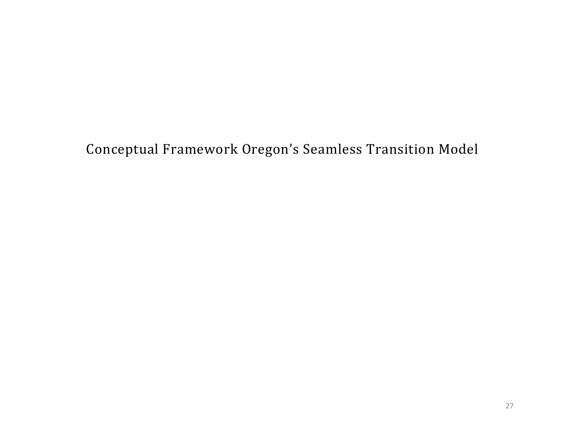Conceptual Framework Oregon's Seamless Transition Model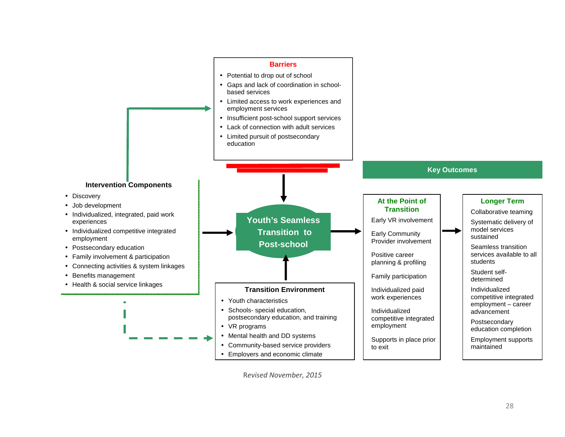

R*evised November, 2015*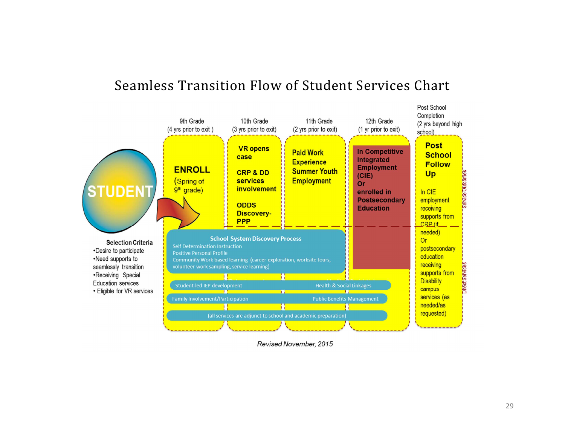



Revised November, 2015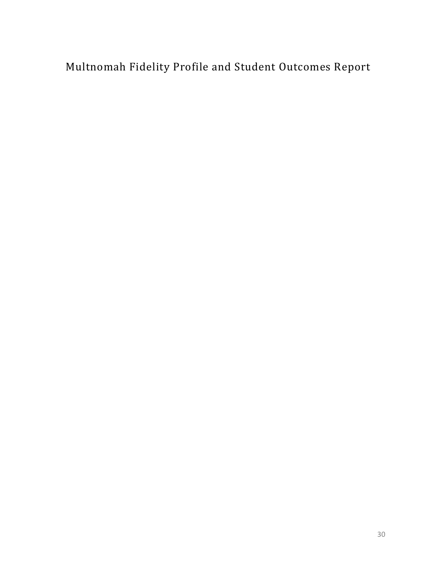Multnomah Fidelity Profile and Student Outcomes Report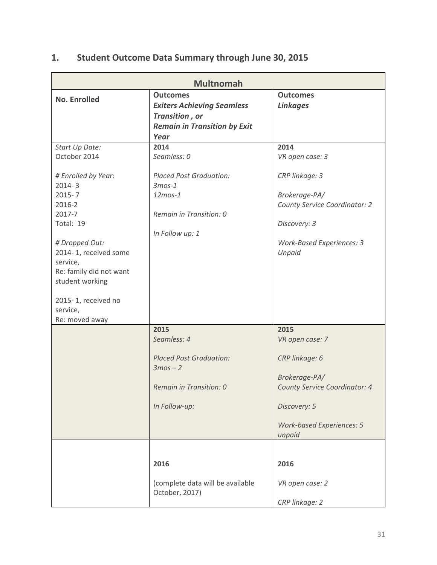### **1. Student Outcome Data Summary through June 30, 2015**

| <b>Multnomah</b>                                                                                                                                                                                                                                           |                                                                                                                                   |                                                                                                                                                           |  |
|------------------------------------------------------------------------------------------------------------------------------------------------------------------------------------------------------------------------------------------------------------|-----------------------------------------------------------------------------------------------------------------------------------|-----------------------------------------------------------------------------------------------------------------------------------------------------------|--|
| <b>No. Enrolled</b>                                                                                                                                                                                                                                        | <b>Outcomes</b><br><b>Exiters Achieving Seamless</b><br>Transition, or<br><b>Remain in Transition by Exit</b><br>Year             | <b>Outcomes</b><br><b>Linkages</b>                                                                                                                        |  |
| Start Up Date:<br>October 2014<br># Enrolled by Year:<br>$2014 - 3$<br>$2015 - 7$<br>2016-2<br>2017-7<br>Total: 19<br># Dropped Out:<br>2014-1, received some<br>service,<br>Re: family did not want<br>student working<br>2015-1, received no<br>service, | 2014<br>Seamless: 0<br><b>Placed Post Graduation:</b><br>$3$ mos-1<br>$12m$ os- $1$<br>Remain in Transition: 0<br>In Follow up: 1 | 2014<br>VR open case: 3<br>CRP linkage: 3<br>Brokerage-PA/<br>County Service Coordinator: 2<br>Discovery: 3<br>Work-Based Experiences: 3<br>Unpaid        |  |
| Re: moved away                                                                                                                                                                                                                                             | 2015<br>Seamless: 4<br><b>Placed Post Graduation:</b><br>$3mos - 2$<br>Remain in Transition: 0<br>In Follow-up:                   | 2015<br>VR open case: 7<br>CRP linkage: 6<br>Brokerage-PA/<br>County Service Coordinator: 4<br>Discovery: 5<br><b>Work-based Experiences: 5</b><br>unpaid |  |
|                                                                                                                                                                                                                                                            | 2016<br>(complete data will be available<br>October, 2017)                                                                        | 2016<br>VR open case: 2<br>CRP linkage: 2                                                                                                                 |  |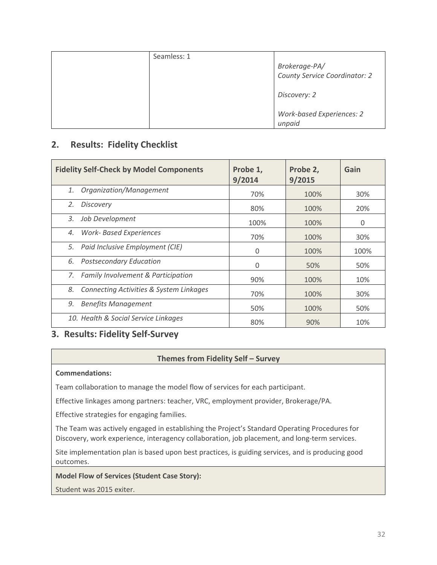| Seamless: 1 |                                                |
|-------------|------------------------------------------------|
|             | Brokerage-PA/<br>County Service Coordinator: 2 |
|             | Discovery: 2                                   |
|             | <b>Work-based Experiences: 2</b><br>unpaid     |

#### **2. Results: Fidelity Checklist**

| <b>Fidelity Self-Check by Model Components</b> | Probe 1,<br>9/2014 | Probe 2,<br>9/2015 | Gain |
|------------------------------------------------|--------------------|--------------------|------|
| Organization/Management<br>1.                  | 70%                | 100%               | 30%  |
| <b>Discovery</b><br>2.                         | 80%                | 100%               | 20%  |
| Job Development<br>3.                          | 100%               | 100%               | 0    |
| <b>Work- Based Experiences</b><br>4.           | 70%                | 100%               | 30%  |
| Paid Inclusive Employment (CIE)<br>5.          | 0                  | 100%               | 100% |
| <b>Postsecondary Education</b><br>6.           | 0                  | 50%                | 50%  |
| 7. Family Involvement & Participation          | 90%                | 100%               | 10%  |
| Connecting Activities & System Linkages<br>8.  | 70%                | 100%               | 30%  |
| <b>Benefits Management</b><br>9.               | 50%                | 100%               | 50%  |
| 10. Health & Social Service Linkages           | 80%                | 90%                | 10%  |

#### **3. Results: Fidelity Self-Survey**

#### **Themes from Fidelity Self – Survey**

#### **Commendations:**

Team collaboration to manage the model flow of services for each participant.

Effective linkages among partners: teacher, VRC, employment provider, Brokerage/PA.

Effective strategies for engaging families.

The Team was actively engaged in establishing the Project's Standard Operating Procedures for Discovery, work experience, interagency collaboration, job placement, and long-term services.

Site implementation plan is based upon best practices, is guiding services, and is producing good outcomes.

#### **Model Flow of Services (Student Case Story):**

Student was 2015 exiter.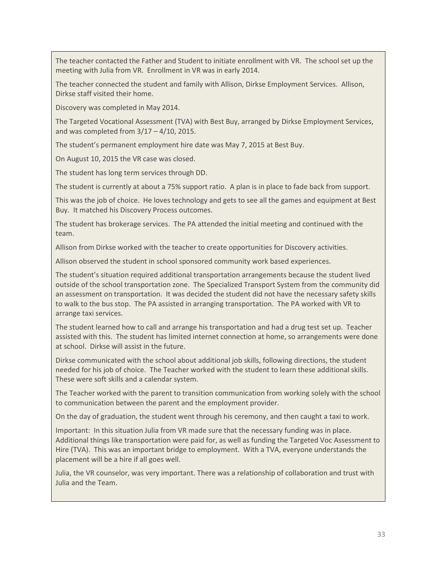The teacher contacted the Father and Student to initiate enrollment with VR. The school set up the meeting with Julia from VR. Enrollment in VR was in early 2014.

The teacher connected the student and family with Allison, Dirkse Employment Services. Allison, Dirkse staff visited their home.

Discovery was completed in May 2014.

The Targeted Vocational Assessment (TVA) with Best Buy, arranged by Dirkse Employment Services, and was completed from  $3/17 - 4/10$ , 2015.

The student's permanent employment hire date was May 7, 2015 at Best Buy.

On August 10, 2015 the VR case was closed.

The student has long term services through DD.

The student is currently at about a 75% support ratio. A plan is in place to fade back from support.

This was the job of choice. He loves technology and gets to see all the games and equipment at Best Buy. It matched his Discovery Process outcomes.

The student has brokerage services. The PA attended the initial meeting and continued with the team.

Allison from Dirkse worked with the teacher to create opportunities for Discovery activities.

Allison observed the student in school sponsored community work based experiences.

The student's situation required additional transportation arrangements because the student lived outside of the school transportation zone. The Specialized Transport System from the community did an assessment on transportation. It was decided the student did not have the necessary safety skills to walk to the bus stop. The PA assisted in arranging transportation. The PA worked with VR to arrange taxi services.

The student learned how to call and arrange his transportation and had a drug test set up. Teacher assisted with this. The student has limited internet connection at home, so arrangements were done at school. Dirkse will assist in the future.

Dirkse communicated with the school about additional job skills, following directions, the student needed for his job of choice. The Teacher worked with the student to learn these additional skills. These were soft skills and a calendar system.

The Teacher worked with the parent to transition communication from working solely with the school to communication between the parent and the employment provider.

On the day of graduation, the student went through his ceremony, and then caught a taxi to work.

Important: In this situation Julia from VR made sure that the necessary funding was in place. Additional things like transportation were paid for, as well as funding the Targeted Voc Assessment to Hire (TVA). This was an important bridge to employment. With a TVA, everyone understands the placement will be a hire if all goes well.

Julia, the VR counselor, was very important. There was a relationship of collaboration and trust with Julia and the Team.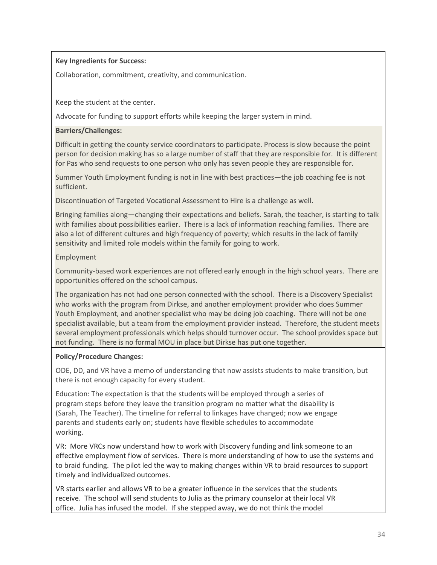#### **Key Ingredients for Success:**

Collaboration, commitment, creativity, and communication.

Keep the student at the center.

Advocate for funding to support efforts while keeping the larger system in mind.

#### **Barriers/Challenges:**

Difficult in getting the county service coordinators to participate. Process is slow because the point person for decision making has so a large number of staff that they are responsible for. It is different for Pas who send requests to one person who only has seven people they are responsible for.

Summer Youth Employment funding is not in line with best practices—the job coaching fee is not sufficient.

Discontinuation of Targeted Vocational Assessment to Hire is a challenge as well.

Bringing families along—changing their expectations and beliefs. Sarah, the teacher, is starting to talk with families about possibilities earlier. There is a lack of information reaching families. There are also a lot of different cultures and high frequency of poverty; which results in the lack of family sensitivity and limited role models within the family for going to work.

#### Employment

Community-based work experiences are not offered early enough in the high school years. There are opportunities offered on the school campus.

The organization has not had one person connected with the school. There is a Discovery Specialist who works with the program from Dirkse, and another employment provider who does Summer Youth Employment, and another specialist who may be doing job coaching. There will not be one specialist available, but a team from the employment provider instead. Therefore, the student meets several employment professionals which helps should turnover occur. The school provides space but not funding. There is no formal MOU in place but Dirkse has put one together.

#### **Policy/Procedure Changes:**

ODE, DD, and VR have a memo of understanding that now assists students to make transition, but there is not enough capacity for every student.

Education: The expectation is that the students will be employed through a series of program steps before they leave the transition program no matter what the disability is (Sarah, The Teacher). The timeline for referral to linkages have changed; now we engage parents and students early on; students have flexible schedules to accommodate working.

VR: More VRCs now understand how to work with Discovery funding and link someone to an effective employment flow of services. There is more understanding of how to use the systems and to braid funding. The pilot led the way to making changes within VR to braid resources to support timely and individualized outcomes.

VR starts earlier and allows VR to be a greater influence in the services that the students receive. The school will send students to Julia as the primary counselor at their local VR office. Julia has infused the model. If she stepped away, we do not think the model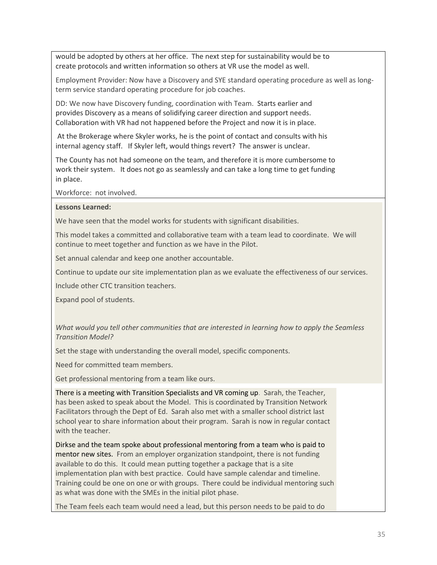would be adopted by others at her office. The next step for sustainability would be to create protocols and written information so others at VR use the model as well.

Employment Provider: Now have a Discovery and SYE standard operating procedure as well as longterm service standard operating procedure for job coaches.

DD: We now have Discovery funding, coordination with Team. Starts earlier and provides Discovery as a means of solidifying career direction and support needs. Collaboration with VR had not happened before the Project and now it is in place.

At the Brokerage where Skyler works, he is the point of contact and consults with his internal agency staff. If Skyler left, would things revert? The answer is unclear.

The County has not had someone on the team, and therefore it is more cumbersome to work their system. It does not go as seamlessly and can take a long time to get funding in place.

Workforce: not involved.

#### **Lessons Learned:**

We have seen that the model works for students with significant disabilities.

This model takes a committed and collaborative team with a team lead to coordinate. We will continue to meet together and function as we have in the Pilot.

Set annual calendar and keep one another accountable.

Continue to update our site implementation plan as we evaluate the effectiveness of our services.

Include other CTC transition teachers.

Expand pool of students.

*What would you tell other communities that are interested in learning how to apply the Seamless Transition Model?* 

Set the stage with understanding the overall model, specific components.

Need for committed team members.

Get professional mentoring from a team like ours.

There is a meeting with Transition Specialists and VR coming up. Sarah, the Teacher, has been asked to speak about the Model. This is coordinated by Transition Network Facilitators through the Dept of Ed. Sarah also met with a smaller school district last school year to share information about their program. Sarah is now in regular contact with the teacher.

Dirkse and the team spoke about professional mentoring from a team who is paid to mentor new sites. From an employer organization standpoint, there is not funding available to do this. It could mean putting together a package that is a site implementation plan with best practice. Could have sample calendar and timeline. Training could be one on one or with groups. There could be individual mentoring such as what was done with the SMEs in the initial pilot phase.

The Team feels each team would need a lead, but this person needs to be paid to do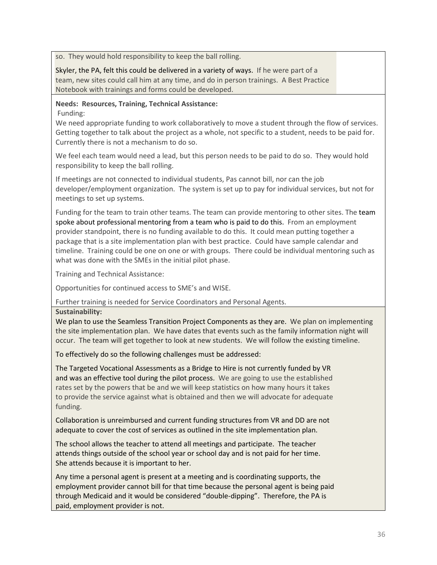so. They would hold responsibility to keep the ball rolling.

Skyler, the PA, felt this could be delivered in a variety of ways. If he were part of a team, new sites could call him at any time, and do in person trainings. A Best Practice Notebook with trainings and forms could be developed.

#### **Needs: Resources, Training, Technical Assistance:**

Funding:

We need appropriate funding to work collaboratively to move a student through the flow of services. Getting together to talk about the project as a whole, not specific to a student, needs to be paid for. Currently there is not a mechanism to do so.

We feel each team would need a lead, but this person needs to be paid to do so. They would hold responsibility to keep the ball rolling.

If meetings are not connected to individual students, Pas cannot bill, nor can the job developer/employment organization. The system is set up to pay for individual services, but not for meetings to set up systems.

Funding for the team to train other teams. The team can provide mentoring to other sites. The team spoke about professional mentoring from a team who is paid to do this. From an employment provider standpoint, there is no funding available to do this. It could mean putting together a package that is a site implementation plan with best practice. Could have sample calendar and timeline. Training could be one on one or with groups. There could be individual mentoring such as what was done with the SMEs in the initial pilot phase.

Training and Technical Assistance:

Opportunities for continued access to SME's and WISE.

Further training is needed for Service Coordinators and Personal Agents.

**Sustainability:** 

We plan to use the Seamless Transition Project Components as they are. We plan on implementing the site implementation plan. We have dates that events such as the family information night will occur. The team will get together to look at new students. We will follow the existing timeline.

To effectively do so the following challenges must be addressed:

The Targeted Vocational Assessments as a Bridge to Hire is not currently funded by VR and was an effective tool during the pilot process. We are going to use the established rates set by the powers that be and we will keep statistics on how many hours it takes to provide the service against what is obtained and then we will advocate for adequate funding.

Collaboration is unreimbursed and current funding structures from VR and DD are not adequate to cover the cost of services as outlined in the site implementation plan.

The school allows the teacher to attend all meetings and participate. The teacher attends things outside of the school year or school day and is not paid for her time. She attends because it is important to her.

Any time a personal agent is present at a meeting and is coordinating supports, the employment provider cannot bill for that time because the personal agent is being paid through Medicaid and it would be considered "double-dipping". Therefore, the PA is paid, employment provider is not.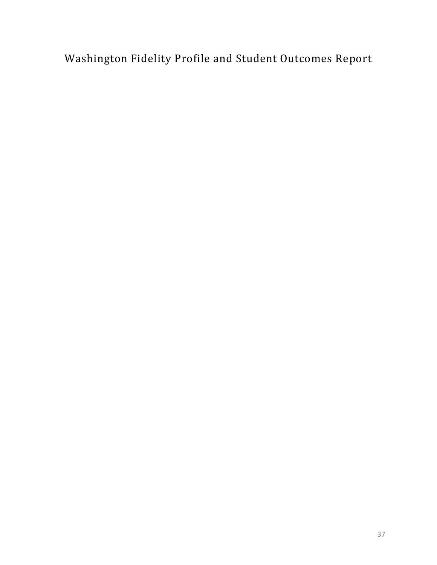Washington Fidelity Profile and Student Outcomes Report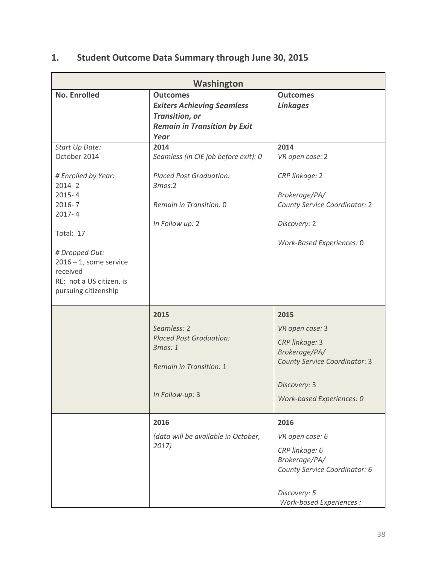### **1. Student Outcome Data Summary through June 30, 2015**

| Washington                                                                                                                                                                                                                                |                                                                                                                                        |                                                                                                                                                        |  |
|-------------------------------------------------------------------------------------------------------------------------------------------------------------------------------------------------------------------------------------------|----------------------------------------------------------------------------------------------------------------------------------------|--------------------------------------------------------------------------------------------------------------------------------------------------------|--|
| <b>No. Enrolled</b>                                                                                                                                                                                                                       | <b>Outcomes</b><br><b>Exiters Achieving Seamless</b><br>Transition, or<br><b>Remain in Transition by Exit</b><br>Year                  | <b>Outcomes</b><br><b>Linkages</b>                                                                                                                     |  |
| Start Up Date:<br>October 2014<br># Enrolled by Year:<br>$2014 - 2$<br>$2015 - 4$<br>$2016 - 7$<br>$2017 - 4$<br>Total: 17<br># Dropped Out:<br>$2016 - 1$ , some service<br>received<br>RE: not a US citizen, is<br>pursuing citizenship | 2014<br>Seamless (in CIE job before exit): 0<br><b>Placed Post Graduation:</b><br>3mos:2<br>Remain in Transition: 0<br>In Follow up: 2 | 2014<br>VR open case: 2<br>CRP linkage: 2<br>Brokerage/PA/<br>County Service Coordinator: 2<br>Discovery: 2<br>Work-Based Experiences: 0               |  |
|                                                                                                                                                                                                                                           | 2015<br>Seamless: 2<br><b>Placed Post Graduation:</b><br>3mos: 1<br><b>Remain in Transition: 1</b><br>In Follow-up: 3                  | 2015<br>VR open case: 3<br>CRP linkage: 3<br>Brokerage/PA/<br><b>County Service Coordinator: 3</b><br>Discovery: 3<br><b>Work-based Experiences: 0</b> |  |
|                                                                                                                                                                                                                                           | 2016<br>(data will be available in October,<br>2017)                                                                                   | 2016<br>VR open case: 6<br>CRP linkage: 6<br>Brokerage/PA/<br>County Service Coordinator: 6<br>Discovery: 5<br>Work-based Experiences :                |  |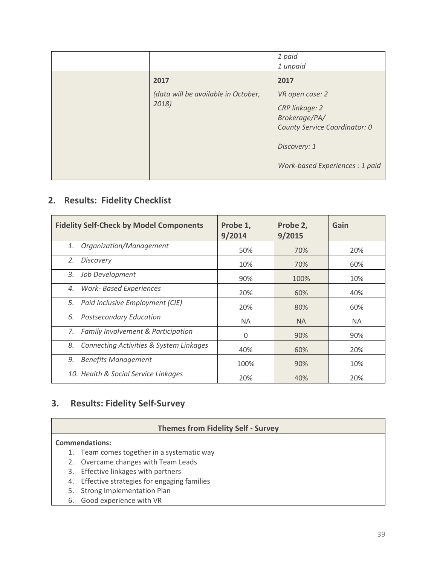|                                              | 1 paid<br>1 unpaid                                                                                                                     |
|----------------------------------------------|----------------------------------------------------------------------------------------------------------------------------------------|
| 2017                                         | 2017                                                                                                                                   |
| (data will be available in October,<br>2018) | VR open case: 2<br>CRP linkage: 2<br>Brokerage/PA/<br>County Service Coordinator: 0<br>Discovery: 1<br>Work-based Experiences : 1 paid |

#### **2. Results: Fidelity Checklist**

| <b>Fidelity Self-Check by Model Components</b>           | Probe 1,<br>9/2014 | Probe 2,<br>9/2015 | Gain |
|----------------------------------------------------------|--------------------|--------------------|------|
| Organization/Management<br>1.                            | 50%                | 70%                | 20%  |
| <b>Discovery</b><br>2.                                   | 10%                | 70%                | 60%  |
| Job Development<br>3.                                    | 90%                | 100%               | 10%  |
| <b>Work- Based Experiences</b><br>4.                     | 20%                | 60%                | 40%  |
| Paid Inclusive Employment (CIE)<br>5.                    | 20%                | 80%                | 60%  |
| 6. Postsecondary Education                               | <b>NA</b>          | <b>NA</b>          | NA.  |
| 7. Family Involvement & Participation                    | 0                  | 90%                | 90%  |
| <b>Connecting Activities &amp; System Linkages</b><br>8. | 40%                | 60%                | 20%  |
| <b>Benefits Management</b><br>9.                         | 100%               | 90%                | 10%  |
| 10. Health & Social Service Linkages                     | 20%                | 40%                | 20%  |

### **3. Results: Fidelity Self-Survey**

#### **Themes from Fidelity Self - Survey**

#### **Commendations:**

- 1. Team comes together in a systematic way
- 2. Overcame changes with Team Leads
- 3. Effective linkages with partners
- 4. Effective strategies for engaging families
- 5. Strong Implementation Plan
- 6. Good experience with VR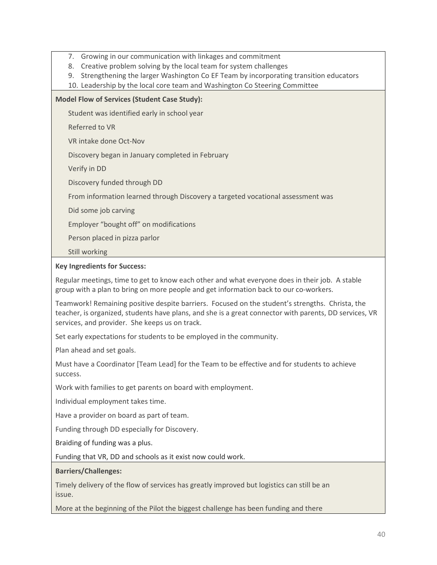- 7. Growing in our communication with linkages and commitment
- 8. Creative problem solving by the local team for system challenges
- 9. Strengthening the larger Washington Co EF Team by incorporating transition educators
- 10. Leadership by the local core team and Washington Co Steering Committee

#### **Model Flow of Services (Student Case Study):**

Student was identified early in school year

Referred to VR

VR intake done Oct-Nov

Discovery began in January completed in February

Verify in DD

Discovery funded through DD

From information learned through Discovery a targeted vocational assessment was

Did some job carving

Employer "bought off" on modifications

Person placed in pizza parlor

Still working

#### **Key Ingredients for Success:**

Regular meetings, time to get to know each other and what everyone does in their job. A stable group with a plan to bring on more people and get information back to our co-workers.

Teamwork! Remaining positive despite barriers. Focused on the student's strengths. Christa, the teacher, is organized, students have plans, and she is a great connector with parents, DD services, VR services, and provider. She keeps us on track.

Set early expectations for students to be employed in the community.

Plan ahead and set goals.

Must have a Coordinator [Team Lead] for the Team to be effective and for students to achieve success.

Work with families to get parents on board with employment.

Individual employment takes time.

Have a provider on board as part of team.

Funding through DD especially for Discovery.

Braiding of funding was a plus.

Funding that VR, DD and schools as it exist now could work.

#### **Barriers/Challenges:**

Timely delivery of the flow of services has greatly improved but logistics can still be an issue.

More at the beginning of the Pilot the biggest challenge has been funding and there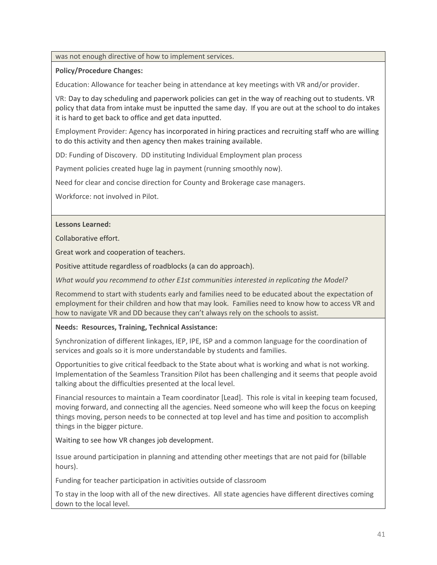#### was not enough directive of how to implement services.

#### **Policy/Procedure Changes:**

Education: Allowance for teacher being in attendance at key meetings with VR and/or provider.

VR: Day to day scheduling and paperwork policies can get in the way of reaching out to students. VR policy that data from intake must be inputted the same day. If you are out at the school to do intakes it is hard to get back to office and get data inputted.

Employment Provider: Agency has incorporated in hiring practices and recruiting staff who are willing to do this activity and then agency then makes training available.

DD: Funding of Discovery. DD instituting Individual Employment plan process

Payment policies created huge lag in payment (running smoothly now).

Need for clear and concise direction for County and Brokerage case managers.

Workforce: not involved in Pilot.

#### **Lessons Learned:**

Collaborative effort.

Great work and cooperation of teachers.

Positive attitude regardless of roadblocks (a can do approach).

*What would you recommend to other E1st communities interested in replicating the Model?* 

Recommend to start with students early and families need to be educated about the expectation of employment for their children and how that may look. Families need to know how to access VR and how to navigate VR and DD because they can't always rely on the schools to assist.

#### **Needs: Resources, Training, Technical Assistance:**

Synchronization of different linkages, IEP, IPE, ISP and a common language for the coordination of services and goals so it is more understandable by students and families.

Opportunities to give critical feedback to the State about what is working and what is not working. Implementation of the Seamless Transition Pilot has been challenging and it seems that people avoid talking about the difficulties presented at the local level.

Financial resources to maintain a Team coordinator [Lead]. This role is vital in keeping team focused, moving forward, and connecting all the agencies. Need someone who will keep the focus on keeping things moving, person needs to be connected at top level and has time and position to accomplish things in the bigger picture.

Waiting to see how VR changes job development.

Issue around participation in planning and attending other meetings that are not paid for (billable hours).

Funding for teacher participation in activities outside of classroom

To stay in the loop with all of the new directives. All state agencies have different directives coming down to the local level.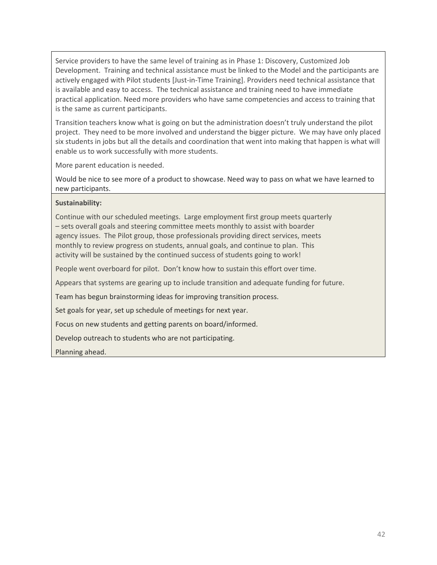Service providers to have the same level of training as in Phase 1: Discovery, Customized Job Development. Training and technical assistance must be linked to the Model and the participants are actively engaged with Pilot students [Just-in-Time Training]. Providers need technical assistance that is available and easy to access. The technical assistance and training need to have immediate practical application. Need more providers who have same competencies and access to training that is the same as current participants.

Transition teachers know what is going on but the administration doesn't truly understand the pilot project. They need to be more involved and understand the bigger picture. We may have only placed six students in jobs but all the details and coordination that went into making that happen is what will enable us to work successfully with more students.

More parent education is needed.

Would be nice to see more of a product to showcase. Need way to pass on what we have learned to new participants.

#### **Sustainability:**

Continue with our scheduled meetings. Large employment first group meets quarterly – sets overall goals and steering committee meets monthly to assist with boarder agency issues. The Pilot group, those professionals providing direct services, meets monthly to review progress on students, annual goals, and continue to plan. This activity will be sustained by the continued success of students going to work!

People went overboard for pilot. Don't know how to sustain this effort over time.

Appears that systems are gearing up to include transition and adequate funding for future.

Team has begun brainstorming ideas for improving transition process.

Set goals for year, set up schedule of meetings for next year.

Focus on new students and getting parents on board/informed.

Develop outreach to students who are not participating.

Planning ahead.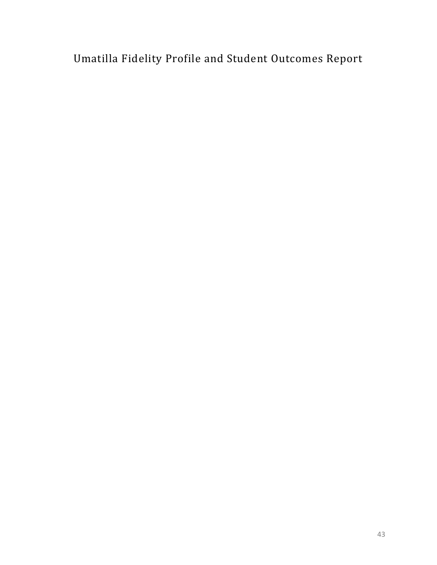Umatilla Fidelity Profile and Student Outcomes Report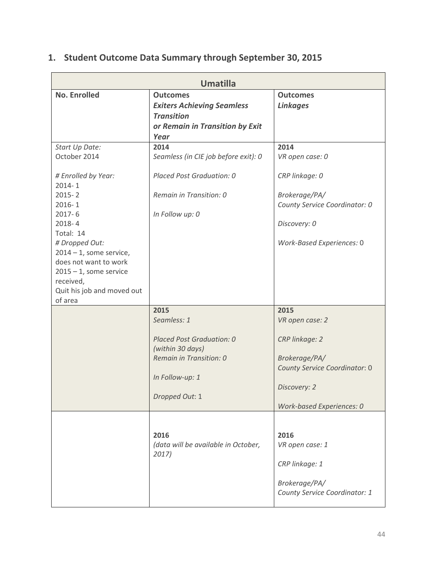### **1. Student Outcome Data Summary through September 30, 2015**

| <b>Umatilla</b>                                                                                                                                                                                                                                                                                      |                                                                                                                                      |                                                                                                                                          |  |
|------------------------------------------------------------------------------------------------------------------------------------------------------------------------------------------------------------------------------------------------------------------------------------------------------|--------------------------------------------------------------------------------------------------------------------------------------|------------------------------------------------------------------------------------------------------------------------------------------|--|
| <b>No. Enrolled</b>                                                                                                                                                                                                                                                                                  | <b>Outcomes</b><br><b>Exiters Achieving Seamless</b><br><b>Transition</b><br>or Remain in Transition by Exit<br>Year                 | <b>Outcomes</b><br><b>Linkages</b>                                                                                                       |  |
| Start Up Date:<br>October 2014<br># Enrolled by Year:<br>$2014 - 1$<br>$2015 - 2$<br>$2016 - 1$<br>$2017 - 6$<br>$2018 - 4$<br>Total: 14<br># Dropped Out:<br>$2014 - 1$ , some service,<br>does not want to work<br>$2015 - 1$ , some service<br>received,<br>Quit his job and moved out<br>of area | 2014<br>Seamless (in CIE job before exit): 0<br>Placed Post Graduation: 0<br>Remain in Transition: 0<br>In Follow up: 0              | 2014<br>VR open case: 0<br>CRP linkage: 0<br>Brokerage/PA/<br>County Service Coordinator: 0<br>Discovery: 0<br>Work-Based Experiences: 0 |  |
|                                                                                                                                                                                                                                                                                                      | 2015<br>Seamless: 1<br>Placed Post Graduation: 0<br>(within 30 days)<br>Remain in Transition: 0<br>In Follow-up: 1<br>Dropped Out: 1 | 2015<br>VR open case: 2<br>CRP linkage: 2<br>Brokerage/PA/<br>County Service Coordinator: 0<br>Discovery: 2<br>Work-based Experiences: 0 |  |
|                                                                                                                                                                                                                                                                                                      | 2016<br>(data will be available in October,<br>2017)                                                                                 | 2016<br>VR open case: 1<br>CRP linkage: 1<br>Brokerage/PA/<br>County Service Coordinator: 1                                              |  |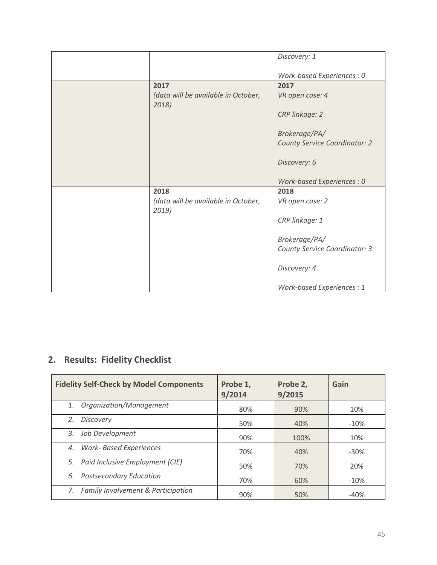|                                              | Discovery: 1                         |
|----------------------------------------------|--------------------------------------|
|                                              | Work-based Experiences : 0           |
| 2017                                         | 2017                                 |
| (data will be available in October,<br>2018) | VR open case: 4                      |
|                                              | CRP linkage: 2                       |
|                                              | Brokerage/PA/                        |
|                                              | <b>County Service Coordinator: 2</b> |
|                                              | Discovery: 6                         |
|                                              | Work-based Experiences : 0           |
| 2018                                         | 2018                                 |
| (data will be available in October,<br>2019) | VR open case: 2                      |
|                                              | CRP linkage: 1                       |
|                                              | Brokerage/PA/                        |
|                                              | County Service Coordinator: 3        |
|                                              | Discovery: 4                         |
|                                              | Work-based Experiences : 1           |

### **2. Results: Fidelity Checklist**

| <b>Fidelity Self-Check by Model Components</b> | Probe 1,<br>9/2014 | Probe 2,<br>9/2015 | Gain    |
|------------------------------------------------|--------------------|--------------------|---------|
| Organization/Management<br>1.                  | 80%                | 90%                | 10%     |
| <b>Discovery</b><br>2.                         | 50%                | 40%                | $-10%$  |
| Job Development<br>3.                          | 90%                | 100%               | 10%     |
| <b>Work- Based Experiences</b><br>4.           | 70%                | 40%                | $-30\%$ |
| 5. Paid Inclusive Employment (CIE)             | 50%                | 70%                | 20%     |
| <b>Postsecondary Education</b><br>6.           | 70%                | 60%                | $-10%$  |
| Family Involvement & Participation             | 90%                | 50%                | $-40%$  |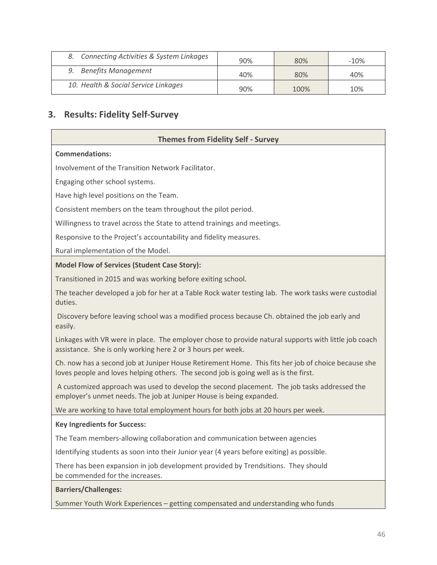| Connecting Activities & System Linkages | 90% | 80%  | $-10\%$ |
|-----------------------------------------|-----|------|---------|
| <b>Benefits Management</b>              | 40% | 80%  | 40%     |
| 10. Health & Social Service Linkages    | 90% | 100% | 10%     |

#### **3. Results: Fidelity Self-Survey**

#### **Themes from Fidelity Self - Survey**

#### **Commendations:**

Involvement of the Transition Network Facilitator.

Engaging other school systems.

Have high level positions on the Team.

Consistent members on the team throughout the pilot period.

Willingness to travel across the State to attend trainings and meetings.

Responsive to the Project's accountability and fidelity measures.

Rural implementation of the Model.

#### **Model Flow of Services (Student Case Story):**

Transitioned in 2015 and was working before exiting school.

The teacher developed a job for her at a Table Rock water testing lab. The work tasks were custodial duties.

 Discovery before leaving school was a modified process because Ch. obtained the job early and easily.

Linkages with VR were in place. The employer chose to provide natural supports with little job coach assistance. She is only working here 2 or 3 hours per week.

Ch. now has a second job at Juniper House Retirement Home. This fits her job of choice because she loves people and loves helping others. The second job is going well as is the first.

 A customized approach was used to develop the second placement. The job tasks addressed the employer's unmet needs. The job at Juniper House is being expanded.

We are working to have total employment hours for both jobs at 20 hours per week.

#### **Key Ingredients for Success:**

The Team members-allowing collaboration and communication between agencies

Identifying students as soon into their Junior year (4 years before exiting) as possible.

There has been expansion in job development provided by Trendsitions. They should be commended for the increases.

#### **Barriers/Challenges:**

Summer Youth Work Experiences – getting compensated and understanding who funds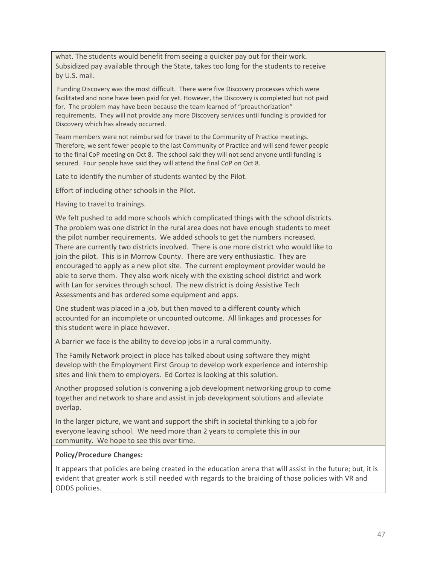what. The students would benefit from seeing a quicker pay out for their work. Subsidized pay available through the State, takes too long for the students to receive by U.S. mail.

 Funding Discovery was the most difficult. There were five Discovery processes which were facilitated and none have been paid for yet. However, the Discovery is completed but not paid for. The problem may have been because the team learned of "preauthorization" requirements. They will not provide any more Discovery services until funding is provided for Discovery which has already occurred.

Team members were not reimbursed for travel to the Community of Practice meetings. Therefore, we sent fewer people to the last Community of Practice and will send fewer people to the final CoP meeting on Oct 8. The school said they will not send anyone until funding is secured. Four people have said they will attend the final CoP on Oct 8.

Late to identify the number of students wanted by the Pilot.

Effort of including other schools in the Pilot.

Having to travel to trainings.

We felt pushed to add more schools which complicated things with the school districts. The problem was one district in the rural area does not have enough students to meet the pilot number requirements. We added schools to get the numbers increased. There are currently two districts involved. There is one more district who would like to join the pilot. This is in Morrow County. There are very enthusiastic. They are encouraged to apply as a new pilot site. The current employment provider would be able to serve them. They also work nicely with the existing school district and work with Lan for services through school. The new district is doing Assistive Tech Assessments and has ordered some equipment and apps.

One student was placed in a job, but then moved to a different county which accounted for an incomplete or uncounted outcome. All linkages and processes for this student were in place however.

A barrier we face is the ability to develop jobs in a rural community.

The Family Network project in place has talked about using software they might develop with the Employment First Group to develop work experience and internship sites and link them to employers. Ed Cortez is looking at this solution.

Another proposed solution is convening a job development networking group to come together and network to share and assist in job development solutions and alleviate overlap.

In the larger picture, we want and support the shift in societal thinking to a job for everyone leaving school. We need more than 2 years to complete this in our community. We hope to see this over time.

#### **Policy/Procedure Changes:**

It appears that policies are being created in the education arena that will assist in the future; but, it is evident that greater work is still needed with regards to the braiding of those policies with VR and ODDS policies.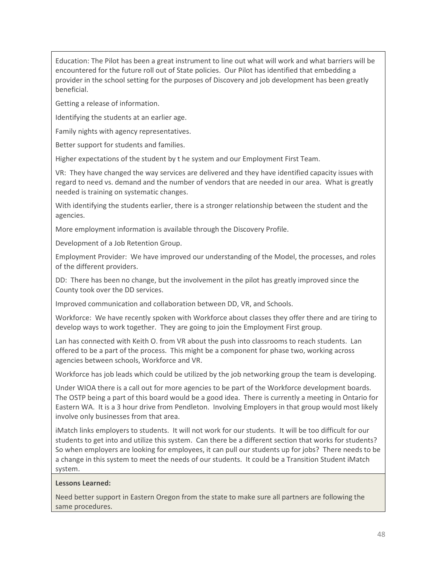Education: The Pilot has been a great instrument to line out what will work and what barriers will be encountered for the future roll out of State policies. Our Pilot has identified that embedding a provider in the school setting for the purposes of Discovery and job development has been greatly beneficial.

Getting a release of information.

Identifying the students at an earlier age.

Family nights with agency representatives.

Better support for students and families.

Higher expectations of the student by t he system and our Employment First Team.

VR: They have changed the way services are delivered and they have identified capacity issues with regard to need vs. demand and the number of vendors that are needed in our area. What is greatly needed is training on systematic changes.

With identifying the students earlier, there is a stronger relationship between the student and the agencies.

More employment information is available through the Discovery Profile.

Development of a Job Retention Group.

Employment Provider: We have improved our understanding of the Model, the processes, and roles of the different providers.

DD: There has been no change, but the involvement in the pilot has greatly improved since the County took over the DD services.

Improved communication and collaboration between DD, VR, and Schools.

Workforce: We have recently spoken with Workforce about classes they offer there and are tiring to develop ways to work together. They are going to join the Employment First group.

Lan has connected with Keith O. from VR about the push into classrooms to reach students. Lan offered to be a part of the process. This might be a component for phase two, working across agencies between schools, Workforce and VR.

Workforce has job leads which could be utilized by the job networking group the team is developing.

Under WIOA there is a call out for more agencies to be part of the Workforce development boards. The OSTP being a part of this board would be a good idea. There is currently a meeting in Ontario for Eastern WA. It is a 3 hour drive from Pendleton. Involving Employers in that group would most likely involve only businesses from that area.

iMatch links employers to students. It will not work for our students. It will be too difficult for our students to get into and utilize this system. Can there be a different section that works for students? So when employers are looking for employees, it can pull our students up for jobs? There needs to be a change in this system to meet the needs of our students. It could be a Transition Student iMatch system.

#### **Lessons Learned:**

Need better support in Eastern Oregon from the state to make sure all partners are following the same procedures.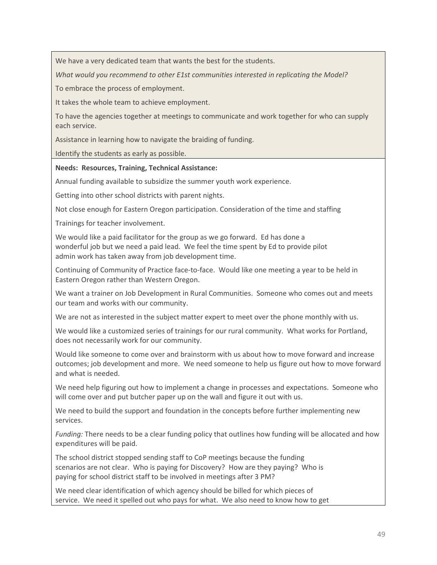We have a very dedicated team that wants the best for the students.

*What would you recommend to other E1st communities interested in replicating the Model?* 

To embrace the process of employment.

It takes the whole team to achieve employment.

To have the agencies together at meetings to communicate and work together for who can supply each service.

Assistance in learning how to navigate the braiding of funding.

Identify the students as early as possible.

#### **Needs: Resources, Training, Technical Assistance:**

Annual funding available to subsidize the summer youth work experience.

Getting into other school districts with parent nights.

Not close enough for Eastern Oregon participation. Consideration of the time and staffing

Trainings for teacher involvement.

We would like a paid facilitator for the group as we go forward. Ed has done a wonderful job but we need a paid lead. We feel the time spent by Ed to provide pilot admin work has taken away from job development time.

Continuing of Community of Practice face-to-face. Would like one meeting a year to be held in Eastern Oregon rather than Western Oregon.

We want a trainer on Job Development in Rural Communities. Someone who comes out and meets our team and works with our community.

We are not as interested in the subject matter expert to meet over the phone monthly with us.

We would like a customized series of trainings for our rural community. What works for Portland, does not necessarily work for our community.

Would like someone to come over and brainstorm with us about how to move forward and increase outcomes; job development and more. We need someone to help us figure out how to move forward and what is needed.

We need help figuring out how to implement a change in processes and expectations. Someone who will come over and put butcher paper up on the wall and figure it out with us.

We need to build the support and foundation in the concepts before further implementing new services.

*Funding:* There needs to be a clear funding policy that outlines how funding will be allocated and how expenditures will be paid.

The school district stopped sending staff to CoP meetings because the funding scenarios are not clear. Who is paying for Discovery? How are they paying? Who is paying for school district staff to be involved in meetings after 3 PM?

We need clear identification of which agency should be billed for which pieces of service. We need it spelled out who pays for what. We also need to know how to get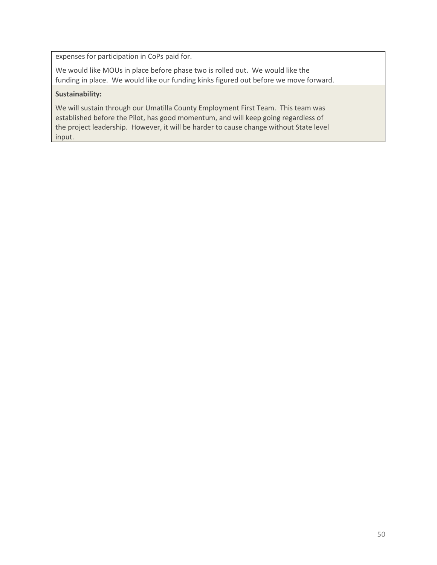expenses for participation in CoPs paid for.

We would like MOUs in place before phase two is rolled out. We would like the funding in place. We would like our funding kinks figured out before we move forward.

#### **Sustainability:**

We will sustain through our Umatilla County Employment First Team. This team was established before the Pilot, has good momentum, and will keep going regardless of the project leadership. However, it will be harder to cause change without State level input.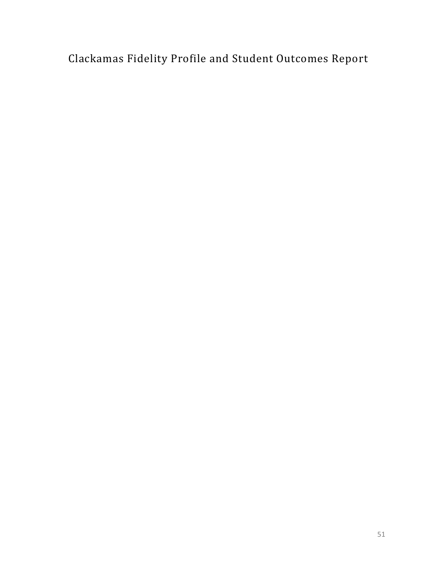Clackamas Fidelity Profile and Student Outcomes Report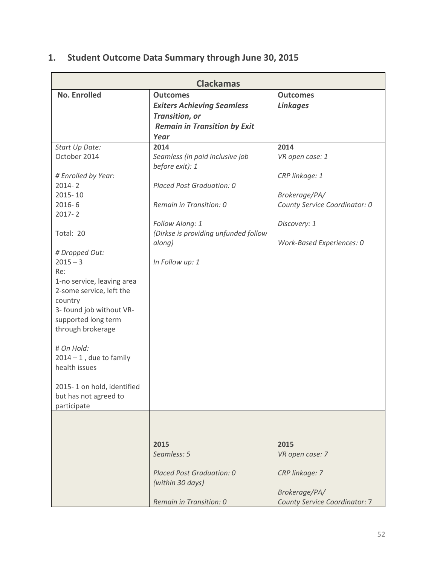### **1. Student Outcome Data Summary through June 30, 2015**

| <b>Clackamas</b>                                                                                                                                                                                                                                                                                                                                                                                                                               |                                                                                                                                                                                                            |                                                                                                                                          |  |
|------------------------------------------------------------------------------------------------------------------------------------------------------------------------------------------------------------------------------------------------------------------------------------------------------------------------------------------------------------------------------------------------------------------------------------------------|------------------------------------------------------------------------------------------------------------------------------------------------------------------------------------------------------------|------------------------------------------------------------------------------------------------------------------------------------------|--|
| <b>No. Enrolled</b>                                                                                                                                                                                                                                                                                                                                                                                                                            | <b>Outcomes</b><br><b>Exiters Achieving Seamless</b><br><b>Transition, or</b><br><b>Remain in Transition by Exit</b><br>Year                                                                               | <b>Outcomes</b><br><b>Linkages</b>                                                                                                       |  |
| Start Up Date:<br>October 2014<br># Enrolled by Year:<br>$2014 - 2$<br>2015-10<br>$2016 - 6$<br>$2017 - 2$<br>Total: 20<br># Dropped Out:<br>$2015 - 3$<br>Re:<br>1-no service, leaving area<br>2-some service, left the<br>country<br>3- found job without VR-<br>supported long term<br>through brokerage<br># On Hold:<br>$2014 - 1$ , due to family<br>health issues<br>2015-1 on hold, identified<br>but has not agreed to<br>participate | 2014<br>Seamless (in paid inclusive job<br>before exit): 1<br>Placed Post Graduation: 0<br>Remain in Transition: 0<br>Follow Along: 1<br>(Dirkse is providing unfunded follow<br>along)<br>In Follow up: 1 | 2014<br>VR open case: 1<br>CRP linkage: 1<br>Brokerage/PA/<br>County Service Coordinator: 0<br>Discovery: 1<br>Work-Based Experiences: 0 |  |
|                                                                                                                                                                                                                                                                                                                                                                                                                                                | 2015<br>Seamless: 5<br>Placed Post Graduation: 0<br>(within 30 days)<br>Remain in Transition: 0                                                                                                            | 2015<br>VR open case: 7<br>CRP linkage: 7<br>Brokerage/PA/<br><b>County Service Coordinator: 7</b>                                       |  |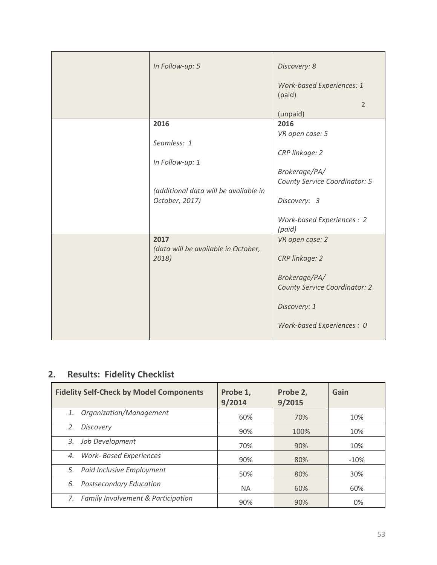| In Follow-up: 5                       | Discovery: 8                               |
|---------------------------------------|--------------------------------------------|
|                                       | <b>Work-based Experiences: 1</b><br>(paid) |
|                                       | $\overline{2}$                             |
|                                       | (unpaid)                                   |
| 2016                                  | 2016                                       |
|                                       | VR open case: 5                            |
| Seamless: 1                           |                                            |
|                                       | CRP linkage: 2                             |
| In Follow-up: 1                       |                                            |
|                                       | Brokerage/PA/                              |
|                                       | County Service Coordinator: 5              |
| (additional data will be available in |                                            |
| October, 2017)                        | Discovery: 3                               |
|                                       |                                            |
|                                       | Work-based Experiences: 2                  |
|                                       | (paid)                                     |
| 2017                                  | VR open case: 2                            |
| (data will be available in October,   |                                            |
| 2018)                                 | CRP linkage: 2                             |
|                                       |                                            |
|                                       | Brokerage/PA/                              |
|                                       | <b>County Service Coordinator: 2</b>       |
|                                       |                                            |
|                                       | Discovery: 1                               |
|                                       |                                            |
|                                       | Work-based Experiences : 0                 |
|                                       |                                            |
|                                       |                                            |

### **2. Results: Fidelity Checklist**

| <b>Fidelity Self-Check by Model Components</b> | Probe 1,<br>9/2014 | Probe 2,<br>9/2015 | Gain   |
|------------------------------------------------|--------------------|--------------------|--------|
| Organization/Management<br>1.                  | 60%                | 70%                | 10%    |
| <b>Discovery</b><br>2.                         | 90%                | 100%               | 10%    |
| Job Development<br>3.                          | 70%                | 90%                | 10%    |
| <b>Work- Based Experiences</b><br>4.           | 90%                | 80%                | $-10%$ |
| 5. Paid Inclusive Employment                   | 50%                | 80%                | 30%    |
| <b>Postsecondary Education</b><br>6.           | <b>NA</b>          | 60%                | 60%    |
| 7. Family Involvement & Participation          | 90%                | 90%                | 0%     |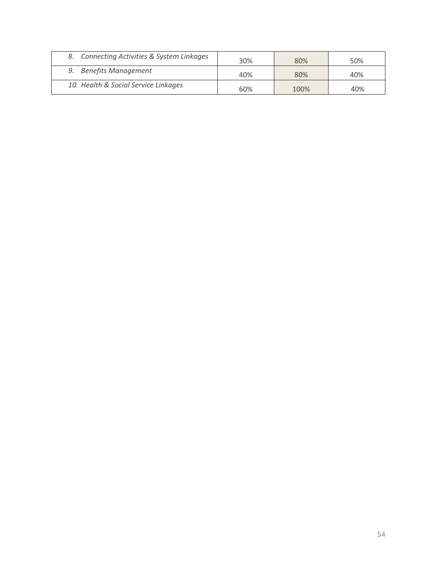| Connecting Activities & System Linkages | 30% | 80%  | 50% |
|-----------------------------------------|-----|------|-----|
| <b>Benefits Management</b>              | 40% | 80%  | 40% |
| 10. Health & Social Service Linkages    | 60% | 100% | 40% |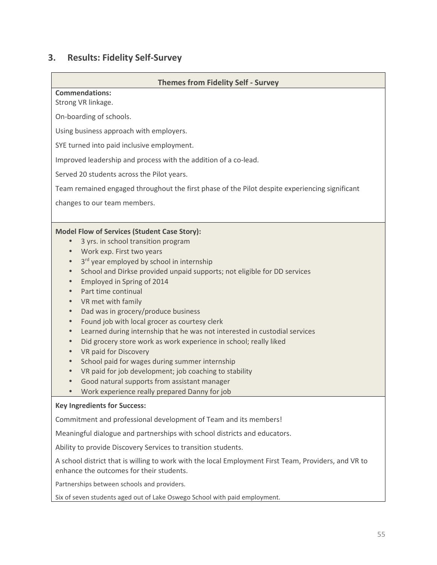### **3. Results: Fidelity Self-Survey**

| <b>Themes from Fidelity Self - Survey</b>                                                                                                        |
|--------------------------------------------------------------------------------------------------------------------------------------------------|
| <b>Commendations:</b>                                                                                                                            |
| Strong VR linkage.                                                                                                                               |
| On-boarding of schools.                                                                                                                          |
| Using business approach with employers.                                                                                                          |
| SYE turned into paid inclusive employment.                                                                                                       |
| Improved leadership and process with the addition of a co-lead.                                                                                  |
| Served 20 students across the Pilot years.                                                                                                       |
| Team remained engaged throughout the first phase of the Pilot despite experiencing significant                                                   |
| changes to our team members.                                                                                                                     |
|                                                                                                                                                  |
| <b>Model Flow of Services (Student Case Story):</b>                                                                                              |
| 3 yrs. in school transition program<br>$\bullet$                                                                                                 |
| Work exp. First two years<br>$\bullet$                                                                                                           |
| 3rd year employed by school in internship<br>$\bullet$                                                                                           |
| School and Dirkse provided unpaid supports; not eligible for DD services<br>$\qquad \qquad \bullet$                                              |
| Employed in Spring of 2014<br>$\bullet$                                                                                                          |
| Part time continual<br>$\bullet$                                                                                                                 |
| VR met with family                                                                                                                               |
| Dad was in grocery/produce business<br>$\bullet$                                                                                                 |
| Found job with local grocer as courtesy clerk<br>$\bullet$                                                                                       |
| Learned during internship that he was not interested in custodial services<br>$\bullet$                                                          |
| Did grocery store work as work experience in school; really liked<br>$\bullet$                                                                   |
| VR paid for Discovery<br>$\bullet$<br>School paid for wages during summer internship                                                             |
| VR paid for job development; job coaching to stability<br>$\bullet$                                                                              |
| Good natural supports from assistant manager                                                                                                     |
| Work experience really prepared Danny for job                                                                                                    |
| <b>Key Ingredients for Success:</b>                                                                                                              |
| Commitment and professional development of Team and its members!                                                                                 |
| Meaningful dialogue and partnerships with school districts and educators.                                                                        |
| Ability to provide Discovery Services to transition students.                                                                                    |
| A school district that is willing to work with the local Employment First Team, Providers, and VR to<br>enhance the outcomes for their students. |
| Partnerships between schools and providers.                                                                                                      |
| Six of seven students aged out of Lake Oswego School with paid employment.                                                                       |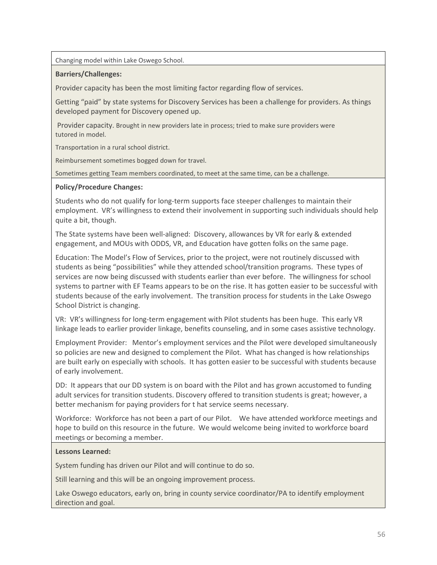Changing model within Lake Oswego School.

#### **Barriers/Challenges:**

Provider capacity has been the most limiting factor regarding flow of services.

Getting "paid" by state systems for Discovery Services has been a challenge for providers. As things developed payment for Discovery opened up.

 Provider capacity. Brought in new providers late in process; tried to make sure providers were tutored in model.

Transportation in a rural school district.

Reimbursement sometimes bogged down for travel.

Sometimes getting Team members coordinated, to meet at the same time, can be a challenge.

#### **Policy/Procedure Changes:**

Students who do not qualify for long-term supports face steeper challenges to maintain their employment. VR's willingness to extend their involvement in supporting such individuals should help quite a bit, though.

The State systems have been well-aligned: Discovery, allowances by VR for early & extended engagement, and MOUs with ODDS, VR, and Education have gotten folks on the same page.

Education: The Model's Flow of Services, prior to the project, were not routinely discussed with students as being "possibilities" while they attended school/transition programs. These types of services are now being discussed with students earlier than ever before. The willingness for school systems to partner with EF Teams appears to be on the rise. It has gotten easier to be successful with students because of the early involvement. The transition process for students in the Lake Oswego School District is changing.

VR: VR's willingness for long-term engagement with Pilot students has been huge. This early VR linkage leads to earlier provider linkage, benefits counseling, and in some cases assistive technology.

Employment Provider: Mentor's employment services and the Pilot were developed simultaneously so policies are new and designed to complement the Pilot. What has changed is how relationships are built early on especially with schools. It has gotten easier to be successful with students because of early involvement.

DD: It appears that our DD system is on board with the Pilot and has grown accustomed to funding adult services for transition students. Discovery offered to transition students is great; however, a better mechanism for paying providers for t hat service seems necessary.

Workforce: Workforce has not been a part of our Pilot. We have attended workforce meetings and hope to build on this resource in the future. We would welcome being invited to workforce board meetings or becoming a member.

#### **Lessons Learned:**

System funding has driven our Pilot and will continue to do so.

Still learning and this will be an ongoing improvement process.

Lake Oswego educators, early on, bring in county service coordinator/PA to identify employment direction and goal.